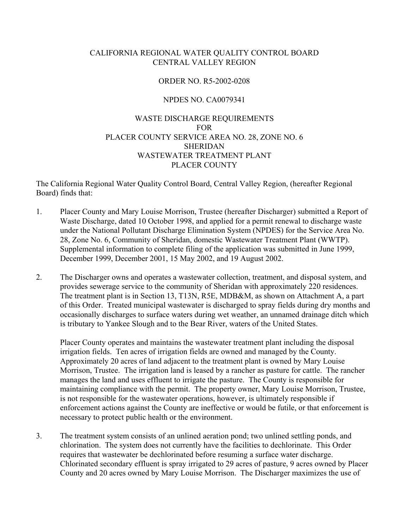# CALIFORNIA REGIONAL WATER QUALITY CONTROL BOARD CENTRAL VALLEY REGION

#### ORDER NO. R5-2002-0208

## NPDES NO. CA0079341

# WASTE DISCHARGE REQUIREMENTS FOR PLACER COUNTY SERVICE AREA NO. 28, ZONE NO. 6 SHERIDAN WASTEWATER TREATMENT PLANT PLACER COUNTY

The California Regional Water Quality Control Board, Central Valley Region, (hereafter Regional Board) finds that:

- 1. Placer County and Mary Louise Morrison, Trustee (hereafter Discharger) submitted a Report of Waste Discharge, dated 10 October 1998, and applied for a permit renewal to discharge waste under the National Pollutant Discharge Elimination System (NPDES) for the Service Area No. 28, Zone No. 6, Community of Sheridan, domestic Wastewater Treatment Plant (WWTP). Supplemental information to complete filing of the application was submitted in June 1999, December 1999, December 2001, 15 May 2002, and 19 August 2002.
- 2. The Discharger owns and operates a wastewater collection, treatment, and disposal system, and provides sewerage service to the community of Sheridan with approximately 220 residences. The treatment plant is in Section 13, T13N, R5E, MDB&M, as shown on Attachment A, a part of this Order. Treated municipal wastewater is discharged to spray fields during dry months and occasionally discharges to surface waters during wet weather, an unnamed drainage ditch which is tributary to Yankee Slough and to the Bear River, waters of the United States.

Placer County operates and maintains the wastewater treatment plant including the disposal irrigation fields. Ten acres of irrigation fields are owned and managed by the County. Approximately 20 acres of land adjacent to the treatment plant is owned by Mary Louise Morrison, Trustee. The irrigation land is leased by a rancher as pasture for cattle. The rancher manages the land and uses effluent to irrigate the pasture. The County is responsible for maintaining compliance with the permit. The property owner, Mary Louise Morrison, Trustee, is not responsible for the wastewater operations, however, is ultimately responsible if enforcement actions against the County are ineffective or would be futile, or that enforcement is necessary to protect public health or the environment.

3. The treatment system consists of an unlined aeration pond; two unlined settling ponds, and chlorination. The system does not currently have the facilities to dechlorinate. This Order requires that wastewater be dechlorinated before resuming a surface water discharge. Chlorinated secondary effluent is spray irrigated to 29 acres of pasture, 9 acres owned by Placer County and 20 acres owned by Mary Louise Morrison. The Discharger maximizes the use of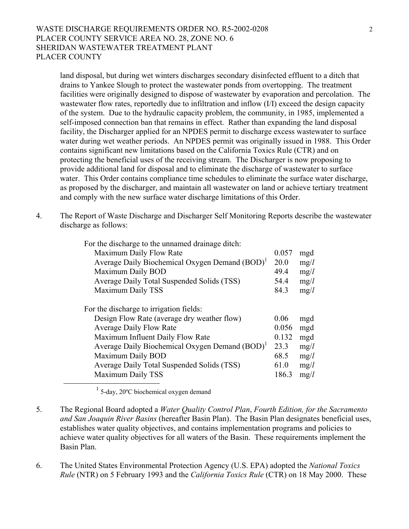## WASTE DISCHARGE REQUIREMENTS ORDER NO. R5-2002-0208 2 PLACER COUNTY SERVICE AREA NO. 28, ZONE NO. 6 SHERIDAN WASTEWATER TREATMENT PLANT PLACER COUNTY

land disposal, but during wet winters discharges secondary disinfected effluent to a ditch that drains to Yankee Slough to protect the wastewater ponds from overtopping. The treatment facilities were originally designed to dispose of wastewater by evaporation and percolation. The wastewater flow rates, reportedly due to infiltration and inflow (I/I) exceed the design capacity of the system. Due to the hydraulic capacity problem, the community, in 1985, implemented a self-imposed connection ban that remains in effect. Rather than expanding the land disposal facility, the Discharger applied for an NPDES permit to discharge excess wastewater to surface water during wet weather periods. An NPDES permit was originally issued in 1988. This Order contains significant new limitations based on the California Toxics Rule (CTR) and on protecting the beneficial uses of the receiving stream. The Discharger is now proposing to provide additional land for disposal and to eliminate the discharge of wastewater to surface water. This Order contains compliance time schedules to eliminate the surface water discharge, as proposed by the discharger, and maintain all wastewater on land or achieve tertiary treatment and comply with the new surface water discharge limitations of this Order.

4. The Report of Waste Discharge and Discharger Self Monitoring Reports describe the wastewater discharge as follows:

| For the discharge to the unnamed drainage ditch:           |       |      |
|------------------------------------------------------------|-------|------|
| Maximum Daily Flow Rate                                    | 0.057 | mgd  |
| Average Daily Biochemical Oxygen Demand (BOD) <sup>1</sup> | 20.0  | mg/l |
| Maximum Daily BOD                                          | 49.4  | mg/l |
| Average Daily Total Suspended Solids (TSS)                 | 54.4  | mg/l |
| Maximum Daily TSS                                          | 84.3  | mg/l |
| For the discharge to irrigation fields:                    |       |      |
| Design Flow Rate (average dry weather flow)                | 0.06  | mgd  |
| <b>Average Daily Flow Rate</b>                             | 0.056 | mgd  |
| Maximum Influent Daily Flow Rate                           | 0.132 | mgd  |
| Average Daily Biochemical Oxygen Demand (BOD) <sup>1</sup> | 23.3  | mg/l |
| Maximum Daily BOD                                          | 68.5  | mg/l |
| Average Daily Total Suspended Solids (TSS)                 | 61.0  | mg/l |
| Maximum Daily TSS                                          | 186.3 | mg/l |

<span id="page-1-0"></span> $1$  5-day, 20 $^{\circ}$ C biochemical oxygen demand

- 5. The Regional Board adopted a *Water Quality Control Plan*, *Fourth Edition, for the Sacramento and San Joaquin River Basins* (hereafter Basin Plan). The Basin Plan designates beneficial uses, establishes water quality objectives, and contains implementation programs and policies to achieve water quality objectives for all waters of the Basin. These requirements implement the Basin Plan.
- 6. The United States Environmental Protection Agency (U.S. EPA) adopted the *National Toxics Rule* (NTR) on 5 February 1993 and the *California Toxics Rule* (CTR) on 18 May 2000. These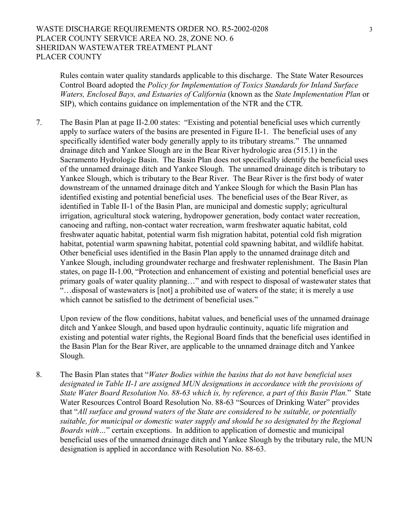# WASTE DISCHARGE REQUIREMENTS ORDER NO. R5-2002-0208 3 PLACER COUNTY SERVICE AREA NO. 28, ZONE NO. 6 SHERIDAN WASTEWATER TREATMENT PLANT PLACER COUNTY

Rules contain water quality standards applicable to this discharge. The State Water Resources Control Board adopted the *Policy for Implementation of Toxics Standards for Inland Surface Waters, Enclosed Bays, and Estuaries of California* (known as the *State Implementation Plan* or SIP), which contains guidance on implementation of the NTR and the CTR*.* 

7. The Basin Plan at page II-2.00 states: "Existing and potential beneficial uses which currently apply to surface waters of the basins are presented in Figure II-1. The beneficial uses of any specifically identified water body generally apply to its tributary streams." The unnamed drainage ditch and Yankee Slough are in the Bear River hydrologic area (515.1) in the Sacramento Hydrologic Basin. The Basin Plan does not specifically identify the beneficial uses of the unnamed drainage ditch and Yankee Slough. The unnamed drainage ditch is tributary to Yankee Slough, which is tributary to the Bear River. The Bear River is the first body of water downstream of the unnamed drainage ditch and Yankee Slough for which the Basin Plan has identified existing and potential beneficial uses. The beneficial uses of the Bear River, as identified in Table II-1 of the Basin Plan, are municipal and domestic supply; agricultural irrigation, agricultural stock watering, hydropower generation, body contact water recreation, canoeing and rafting, non-contact water recreation, warm freshwater aquatic habitat, cold freshwater aquatic habitat, potential warm fish migration habitat, potential cold fish migration habitat, potential warm spawning habitat, potential cold spawning habitat, and wildlife habitat. Other beneficial uses identified in the Basin Plan apply to the unnamed drainage ditch and Yankee Slough, including groundwater recharge and freshwater replenishment. The Basin Plan states, on page II-1.00, "Protection and enhancement of existing and potential beneficial uses are primary goals of water quality planning…" and with respect to disposal of wastewater states that "…disposal of wastewaters is [not] a prohibited use of waters of the state; it is merely a use which cannot be satisfied to the detriment of beneficial uses."

Upon review of the flow conditions, habitat values, and beneficial uses of the unnamed drainage ditch and Yankee Slough, and based upon hydraulic continuity, aquatic life migration and existing and potential water rights, the Regional Board finds that the beneficial uses identified in the Basin Plan for the Bear River, are applicable to the unnamed drainage ditch and Yankee Slough.

8. The Basin Plan states that "*Water Bodies within the basins that do not have beneficial uses designated in Table II-1 are assigned MUN designations in accordance with the provisions of State Water Board Resolution No. 88-63 which is, by reference, a part of this Basin Plan.*" State Water Resources Control Board Resolution No. 88-63 "Sources of Drinking Water" provides that "*All surface and ground waters of the State are considered to be suitable, or potentially suitable, for municipal or domestic water supply and should be so designated by the Regional Boards with…*" certain exceptions. In addition to application of domestic and municipal beneficial uses of the unnamed drainage ditch and Yankee Slough by the tributary rule, the MUN designation is applied in accordance with Resolution No. 88-63.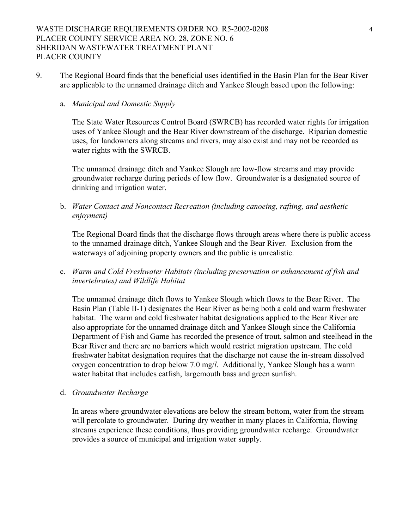9. The Regional Board finds that the beneficial uses identified in the Basin Plan for the Bear River are applicable to the unnamed drainage ditch and Yankee Slough based upon the following:

#### a. *Municipal and Domestic Supply*

The State Water Resources Control Board (SWRCB) has recorded water rights for irrigation uses of Yankee Slough and the Bear River downstream of the discharge. Riparian domestic uses, for landowners along streams and rivers, may also exist and may not be recorded as water rights with the SWRCB.

The unnamed drainage ditch and Yankee Slough are low-flow streams and may provide groundwater recharge during periods of low flow. Groundwater is a designated source of drinking and irrigation water.

b. *Water Contact and Noncontact Recreation (including canoeing, rafting, and aesthetic enjoyment)* 

The Regional Board finds that the discharge flows through areas where there is public access to the unnamed drainage ditch, Yankee Slough and the Bear River. Exclusion from the waterways of adjoining property owners and the public is unrealistic.

c. *Warm and Cold Freshwater Habitats (including preservation or enhancement of fish and invertebrates) and Wildlife Habitat* 

The unnamed drainage ditch flows to Yankee Slough which flows to the Bear River. The Basin Plan (Table II-1) designates the Bear River as being both a cold and warm freshwater habitat. The warm and cold freshwater habitat designations applied to the Bear River are also appropriate for the unnamed drainage ditch and Yankee Slough since the California Department of Fish and Game has recorded the presence of trout, salmon and steelhead in the Bear River and there are no barriers which would restrict migration upstream. The cold freshwater habitat designation requires that the discharge not cause the in-stream dissolved oxygen concentration to drop below 7.0 mg/*l*. Additionally, Yankee Slough has a warm water habitat that includes catfish, largemouth bass and green sunfish.

d. *Groundwater Recharge* 

In areas where groundwater elevations are below the stream bottom, water from the stream will percolate to groundwater. During dry weather in many places in California, flowing streams experience these conditions, thus providing groundwater recharge. Groundwater provides a source of municipal and irrigation water supply.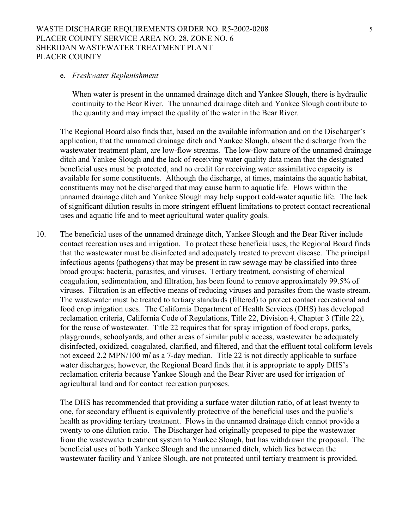#### WASTE DISCHARGE REQUIREMENTS ORDER NO. R5-2002-0208 5 PLACER COUNTY SERVICE AREA NO. 28, ZONE NO. 6 SHERIDAN WASTEWATER TREATMENT PLANT PLACER COUNTY

#### e. *Freshwater Replenishment*

When water is present in the unnamed drainage ditch and Yankee Slough, there is hydraulic continuity to the Bear River. The unnamed drainage ditch and Yankee Slough contribute to the quantity and may impact the quality of the water in the Bear River.

The Regional Board also finds that, based on the available information and on the Discharger's application, that the unnamed drainage ditch and Yankee Slough, absent the discharge from the wastewater treatment plant, are low-flow streams. The low-flow nature of the unnamed drainage ditch and Yankee Slough and the lack of receiving water quality data mean that the designated beneficial uses must be protected, and no credit for receiving water assimilative capacity is available for some constituents. Although the discharge, at times, maintains the aquatic habitat, constituents may not be discharged that may cause harm to aquatic life. Flows within the unnamed drainage ditch and Yankee Slough may help support cold-water aquatic life. The lack of significant dilution results in more stringent effluent limitations to protect contact recreational uses and aquatic life and to meet agricultural water quality goals.

10. The beneficial uses of the unnamed drainage ditch, Yankee Slough and the Bear River include contact recreation uses and irrigation. To protect these beneficial uses, the Regional Board finds that the wastewater must be disinfected and adequately treated to prevent disease. The principal infectious agents (pathogens) that may be present in raw sewage may be classified into three broad groups: bacteria, parasites, and viruses. Tertiary treatment, consisting of chemical coagulation, sedimentation, and filtration, has been found to remove approximately 99.5% of viruses. Filtration is an effective means of reducing viruses and parasites from the waste stream. The wastewater must be treated to tertiary standards (filtered) to protect contact recreational and food crop irrigation uses. The California Department of Health Services (DHS) has developed reclamation criteria, California Code of Regulations, Title 22, Division 4, Chapter 3 (Title 22), for the reuse of wastewater. Title 22 requires that for spray irrigation of food crops, parks, playgrounds, schoolyards, and other areas of similar public access, wastewater be adequately disinfected, oxidized, coagulated, clarified, and filtered, and that the effluent total coliform levels not exceed 2.2 MPN/100 m*l* as a 7-day median. Title 22 is not directly applicable to surface water discharges; however, the Regional Board finds that it is appropriate to apply DHS's reclamation criteria because Yankee Slough and the Bear River are used for irrigation of agricultural land and for contact recreation purposes.

The DHS has recommended that providing a surface water dilution ratio, of at least twenty to one, for secondary effluent is equivalently protective of the beneficial uses and the public's health as providing tertiary treatment. Flows in the unnamed drainage ditch cannot provide a twenty to one dilution ratio. The Discharger had originally proposed to pipe the wastewater from the wastewater treatment system to Yankee Slough, but has withdrawn the proposal. The beneficial uses of both Yankee Slough and the unnamed ditch, which lies between the wastewater facility and Yankee Slough, are not protected until tertiary treatment is provided.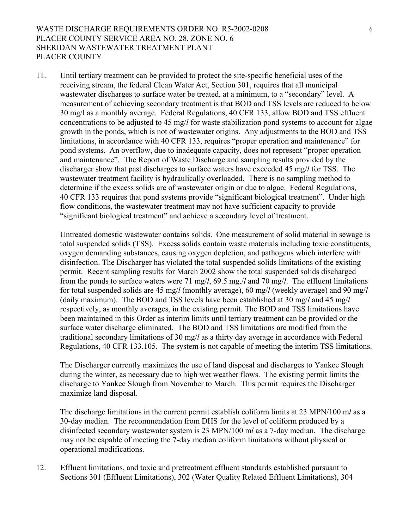# WASTE DISCHARGE REQUIREMENTS ORDER NO. R5-2002-0208 6 PLACER COUNTY SERVICE AREA NO. 28, ZONE NO. 6 SHERIDAN WASTEWATER TREATMENT PLANT PLACER COUNTY

11. Until tertiary treatment can be provided to protect the site-specific beneficial uses of the receiving stream, the federal Clean Water Act, Section 301, requires that all municipal wastewater discharges to surface water be treated, at a minimum, to a "secondary" level. A measurement of achieving secondary treatment is that BOD and TSS levels are reduced to below 30 mg/l as a monthly average. Federal Regulations, 40 CFR 133, allow BOD and TSS effluent concentrations to be adjusted to 45 mg/*l* for waste stabilization pond systems to account for algae growth in the ponds, which is not of wastewater origins. Any adjustments to the BOD and TSS limitations, in accordance with 40 CFR 133, requires "proper operation and maintenance" for pond systems. An overflow, due to inadequate capacity, does not represent "proper operation and maintenance". The Report of Waste Discharge and sampling results provided by the discharger show that past discharges to surface waters have exceeded 45 mg/*l* for TSS. The wastewater treatment facility is hydraulically overloaded. There is no sampling method to determine if the excess solids are of wastewater origin or due to algae. Federal Regulations, 40 CFR 133 requires that pond systems provide "significant biological treatment". Under high flow conditions, the wastewater treatment may not have sufficient capacity to provide "significant biological treatment" and achieve a secondary level of treatment.

Untreated domestic wastewater contains solids. One measurement of solid material in sewage is total suspended solids (TSS). Excess solids contain waste materials including toxic constituents, oxygen demanding substances, causing oxygen depletion, and pathogens which interfere with disinfection. The Discharger has violated the total suspended solids limitations of the existing permit. Recent sampling results for March 2002 show the total suspended solids discharged from the ponds to surface waters were 71 mg/*l*, 69.5 mg./*l* and 70 mg/*l*. The effluent limitations for total suspended solids are 45 mg/*l* (monthly average), 60 mg/*l* (weekly average) and 90 mg/*l* (daily maximum). The BOD and TSS levels have been established at 30 mg/*l* and 45 mg/*l*  respectively, as monthly averages, in the existing permit. The BOD and TSS limitations have been maintained in this Order as interim limits until tertiary treatment can be provided or the surface water discharge eliminated. The BOD and TSS limitations are modified from the traditional secondary limitations of 30 mg/*l* as a thirty day average in accordance with Federal Regulations, 40 CFR 133.105. The system is not capable of meeting the interim TSS limitations.

The Discharger currently maximizes the use of land disposal and discharges to Yankee Slough during the winter, as necessary due to high wet weather flows. The existing permit limits the discharge to Yankee Slough from November to March. This permit requires the Discharger maximize land disposal.

 The discharge limitations in the current permit establish coliform limits at 23 MPN/100 m*l* as a 30-day median. The recommendation from DHS for the level of coliform produced by a disinfected secondary wastewater system is 23 MPN/100 m*l* as a 7-day median. The discharge may not be capable of meeting the 7-day median coliform limitations without physical or operational modifications.

12. Effluent limitations, and toxic and pretreatment effluent standards established pursuant to Sections 301 (Effluent Limitations), 302 (Water Quality Related Effluent Limitations), 304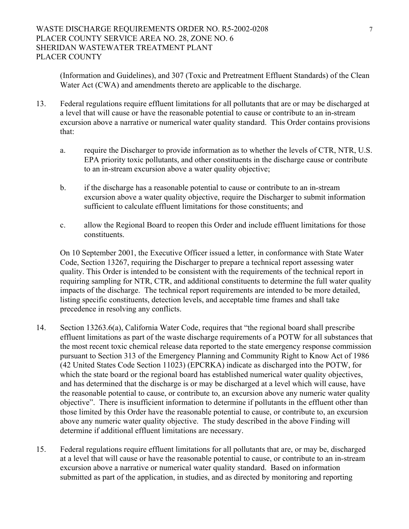(Information and Guidelines), and 307 (Toxic and Pretreatment Effluent Standards) of the Clean Water Act (CWA) and amendments thereto are applicable to the discharge.

- 13. Federal regulations require effluent limitations for all pollutants that are or may be discharged at a level that will cause or have the reasonable potential to cause or contribute to an in-stream excursion above a narrative or numerical water quality standard. This Order contains provisions that:
	- a. require the Discharger to provide information as to whether the levels of CTR, NTR, U.S. EPA priority toxic pollutants, and other constituents in the discharge cause or contribute to an in-stream excursion above a water quality objective;
	- b. if the discharge has a reasonable potential to cause or contribute to an in-stream excursion above a water quality objective, require the Discharger to submit information sufficient to calculate effluent limitations for those constituents; and
	- c. allow the Regional Board to reopen this Order and include effluent limitations for those constituents.

On 10 September 2001, the Executive Officer issued a letter, in conformance with State Water Code, Section 13267, requiring the Discharger to prepare a technical report assessing water quality. This Order is intended to be consistent with the requirements of the technical report in requiring sampling for NTR, CTR, and additional constituents to determine the full water quality impacts of the discharge. The technical report requirements are intended to be more detailed, listing specific constituents, detection levels, and acceptable time frames and shall take precedence in resolving any conflicts.

- 14. Section 13263.6(a), California Water Code, requires that "the regional board shall prescribe effluent limitations as part of the waste discharge requirements of a POTW for all substances that the most recent toxic chemical release data reported to the state emergency response commission pursuant to Section 313 of the Emergency Planning and Community Right to Know Act of 1986 (42 United States Code Section 11023) (EPCRKA) indicate as discharged into the POTW, for which the state board or the regional board has established numerical water quality objectives, and has determined that the discharge is or may be discharged at a level which will cause, have the reasonable potential to cause, or contribute to, an excursion above any numeric water quality objective". There is insufficient information to determine if pollutants in the effluent other than those limited by this Order have the reasonable potential to cause, or contribute to, an excursion above any numeric water quality objective. The study described in the above Finding will determine if additional effluent limitations are necessary.
- 15. Federal regulations require effluent limitations for all pollutants that are, or may be, discharged at a level that will cause or have the reasonable potential to cause, or contribute to an in-stream excursion above a narrative or numerical water quality standard. Based on information submitted as part of the application, in studies, and as directed by monitoring and reporting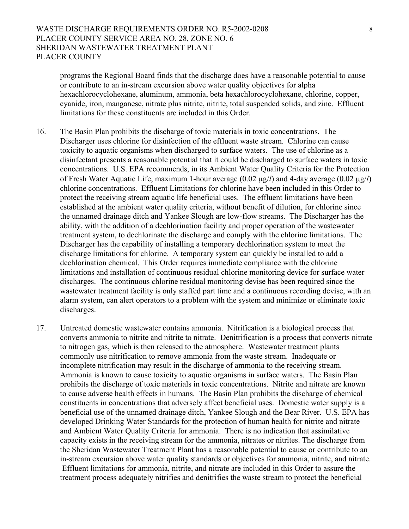programs the Regional Board finds that the discharge does have a reasonable potential to cause or contribute to an in-stream excursion above water quality objectives for alpha hexachlorocyclohexane, aluminum, ammonia, beta hexachlorocyclohexane, chlorine, copper, cyanide, iron, manganese, nitrate plus nitrite, nitrite, total suspended solids, and zinc. Effluent limitations for these constituents are included in this Order.

- 16. The Basin Plan prohibits the discharge of toxic materials in toxic concentrations. The Discharger uses chlorine for disinfection of the effluent waste stream. Chlorine can cause toxicity to aquatic organisms when discharged to surface waters. The use of chlorine as a disinfectant presents a reasonable potential that it could be discharged to surface waters in toxic concentrations. U.S. EPA recommends, in its Ambient Water Quality Criteria for the Protection of Fresh Water Aquatic Life, maximum 1-hour average (0.02 µg/*l*) and 4-day average (0.02 µg/*l*) chlorine concentrations. Effluent Limitations for chlorine have been included in this Order to protect the receiving stream aquatic life beneficial uses. The effluent limitations have been established at the ambient water quality criteria, without benefit of dilution, for chlorine since the unnamed drainage ditch and Yankee Slough are low-flow streams. The Discharger has the ability, with the addition of a dechlorination facility and proper operation of the wastewater treatment system, to dechlorinate the discharge and comply with the chlorine limitations. The Discharger has the capability of installing a temporary dechlorination system to meet the discharge limitations for chlorine. A temporary system can quickly be installed to add a dechlorination chemical. This Order requires immediate compliance with the chlorine limitations and installation of continuous residual chlorine monitoring device for surface water discharges. The continuous chlorine residual monitoring devise has been required since the wastewater treatment facility is only staffed part time and a continuous recording devise, with an alarm system, can alert operators to a problem with the system and minimize or eliminate toxic discharges.
- 17. Untreated domestic wastewater contains ammonia. Nitrification is a biological process that converts ammonia to nitrite and nitrite to nitrate. Denitrification is a process that converts nitrate to nitrogen gas, which is then released to the atmosphere. Wastewater treatment plants commonly use nitrification to remove ammonia from the waste stream. Inadequate or incomplete nitrification may result in the discharge of ammonia to the receiving stream. Ammonia is known to cause toxicity to aquatic organisms in surface waters. The Basin Plan prohibits the discharge of toxic materials in toxic concentrations. Nitrite and nitrate are known to cause adverse health effects in humans. The Basin Plan prohibits the discharge of chemical constituents in concentrations that adversely affect beneficial uses. Domestic water supply is a beneficial use of the unnamed drainage ditch, Yankee Slough and the Bear River. U.S. EPA has developed Drinking Water Standards for the protection of human health for nitrite and nitrate and Ambient Water Quality Criteria for ammonia. There is no indication that assimilative capacity exists in the receiving stream for the ammonia, nitrates or nitrites. The discharge from the Sheridan Wastewater Treatment Plant has a reasonable potential to cause or contribute to an in-stream excursion above water quality standards or objectives for ammonia, nitrite, and nitrate. Effluent limitations for ammonia, nitrite, and nitrate are included in this Order to assure the treatment process adequately nitrifies and denitrifies the waste stream to protect the beneficial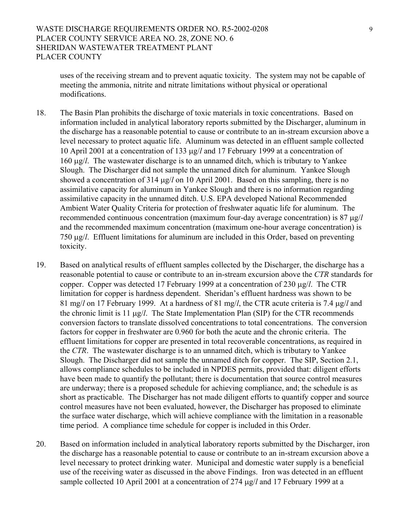# WASTE DISCHARGE REQUIREMENTS ORDER NO. R5-2002-0208 9 PLACER COUNTY SERVICE AREA NO. 28, ZONE NO. 6 SHERIDAN WASTEWATER TREATMENT PLANT PLACER COUNTY

uses of the receiving stream and to prevent aquatic toxicity. The system may not be capable of meeting the ammonia, nitrite and nitrate limitations without physical or operational modifications.

- 18. The Basin Plan prohibits the discharge of toxic materials in toxic concentrations. Based on information included in analytical laboratory reports submitted by the Discharger, aluminum in the discharge has a reasonable potential to cause or contribute to an in-stream excursion above a level necessary to protect aquatic life. Aluminum was detected in an effluent sample collected 10 April 2001 at a concentration of 133 µg/*l* and 17 February 1999 at a concentration of 160 µg/*l*. The wastewater discharge is to an unnamed ditch, which is tributary to Yankee Slough. The Discharger did not sample the unnamed ditch for aluminum. Yankee Slough showed a concentration of 314  $\mu$ g/*l* on 10 April 2001. Based on this sampling, there is no assimilative capacity for aluminum in Yankee Slough and there is no information regarding assimilative capacity in the unnamed ditch. U.S. EPA developed National Recommended Ambient Water Quality Criteria for protection of freshwater aquatic life for aluminum. The recommended continuous concentration (maximum four-day average concentration) is 87 µg/*l* and the recommended maximum concentration (maximum one-hour average concentration) is 750 µg/*l*. Effluent limitations for aluminum are included in this Order, based on preventing toxicity.
- 19. Based on analytical results of effluent samples collected by the Discharger, the discharge has a reasonable potential to cause or contribute to an in-stream excursion above the *CTR* standards for copper. Copper was detected 17 February 1999 at a concentration of 230 µg/*l*. The CTR limitation for copper is hardness dependent. Sheridan's effluent hardness was shown to be 81 mg/*l* on 17 February 1999. At a hardness of 81 mg/*l*, the CTR acute criteria is 7.4 µg/*l* and the chronic limit is 11 µg/*l*. The State Implementation Plan (SIP) for the CTR recommends conversion factors to translate dissolved concentrations to total concentrations. The conversion factors for copper in freshwater are 0.960 for both the acute and the chronic criteria. The effluent limitations for copper are presented in total recoverable concentrations, as required in the *CTR*. The wastewater discharge is to an unnamed ditch, which is tributary to Yankee Slough. The Discharger did not sample the unnamed ditch for copper. The SIP, Section 2.1, allows compliance schedules to be included in NPDES permits, provided that: diligent efforts have been made to quantify the pollutant; there is documentation that source control measures are underway; there is a proposed schedule for achieving compliance, and; the schedule is as short as practicable. The Discharger has not made diligent efforts to quantify copper and source control measures have not been evaluated, however, the Discharger has proposed to eliminate the surface water discharge, which will achieve compliance with the limitation in a reasonable time period. A compliance time schedule for copper is included in this Order.
- 20. Based on information included in analytical laboratory reports submitted by the Discharger, iron the discharge has a reasonable potential to cause or contribute to an in-stream excursion above a level necessary to protect drinking water. Municipal and domestic water supply is a beneficial use of the receiving water as discussed in the above Findings. Iron was detected in an effluent sample collected 10 April 2001 at a concentration of 274  $\mu$ g/*l* and 17 February 1999 at a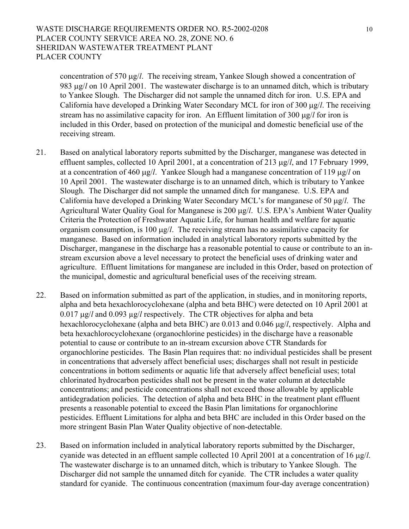### WASTE DISCHARGE REQUIREMENTS ORDER NO. R5-2002-0208 10 PLACER COUNTY SERVICE AREA NO. 28, ZONE NO. 6 SHERIDAN WASTEWATER TREATMENT PLANT PLACER COUNTY

concentration of 570 µg/*l*. The receiving stream, Yankee Slough showed a concentration of 983 µg/*l* on 10 April 2001. The wastewater discharge is to an unnamed ditch, which is tributary to Yankee Slough. The Discharger did not sample the unnamed ditch for iron. U.S. EPA and California have developed a Drinking Water Secondary MCL for iron of 300 µg/*l*. The receiving stream has no assimilative capacity for iron. An Effluent limitation of 300 µg/*l* for iron is included in this Order, based on protection of the municipal and domestic beneficial use of the receiving stream.

- 21. Based on analytical laboratory reports submitted by the Discharger, manganese was detected in effluent samples, collected 10 April 2001, at a concentration of 213 µg/*l*, and 17 February 1999, at a concentration of 460 µg/*l*. Yankee Slough had a manganese concentration of 119 µg/*l* on 10 April 2001. The wastewater discharge is to an unnamed ditch, which is tributary to Yankee Slough. The Discharger did not sample the unnamed ditch for manganese. U.S. EPA and California have developed a Drinking Water Secondary MCL's for manganese of 50 µg/*l*. The Agricultural Water Quality Goal for Manganese is 200 µg/*l*. U.S. EPA's Ambient Water Quality Criteria the Protection of Freshwater Aquatic Life, for human health and welfare for aquatic organism consumption, is 100 µg/*l*. The receiving stream has no assimilative capacity for manganese. Based on information included in analytical laboratory reports submitted by the Discharger, manganese in the discharge has a reasonable potential to cause or contribute to an instream excursion above a level necessary to protect the beneficial uses of drinking water and agriculture. Effluent limitations for manganese are included in this Order, based on protection of the municipal, domestic and agricultural beneficial uses of the receiving stream.
- 22. Based on information submitted as part of the application, in studies, and in monitoring reports, alpha and beta hexachlorocyclohexane (alpha and beta BHC) were detected on 10 April 2001 at 0.017 µg/*l* and 0.093 µg/*l* respectively. The CTR objectives for alpha and beta hexachlorocyclohexane (alpha and beta BHC) are 0.013 and 0.046 µg/*l*, respectively. Alpha and beta hexachlorocyclohexane (organochlorine pesticides) in the discharge have a reasonable potential to cause or contribute to an in-stream excursion above CTR Standards for organochlorine pesticides. The Basin Plan requires that: no individual pesticides shall be present in concentrations that adversely affect beneficial uses; discharges shall not result in pesticide concentrations in bottom sediments or aquatic life that adversely affect beneficial uses; total chlorinated hydrocarbon pesticides shall not be present in the water column at detectable concentrations; and pesticide concentrations shall not exceed those allowable by applicable antidegradation policies. The detection of alpha and beta BHC in the treatment plant effluent presents a reasonable potential to exceed the Basin Plan limitations for organochlorine pesticides. Effluent Limitations for alpha and beta BHC are included in this Order based on the more stringent Basin Plan Water Quality objective of non-detectable.
- 23. Based on information included in analytical laboratory reports submitted by the Discharger, cyanide was detected in an effluent sample collected 10 April 2001 at a concentration of 16 µg/*l*. The wastewater discharge is to an unnamed ditch, which is tributary to Yankee Slough. The Discharger did not sample the unnamed ditch for cyanide. The CTR includes a water quality standard for cyanide. The continuous concentration (maximum four-day average concentration)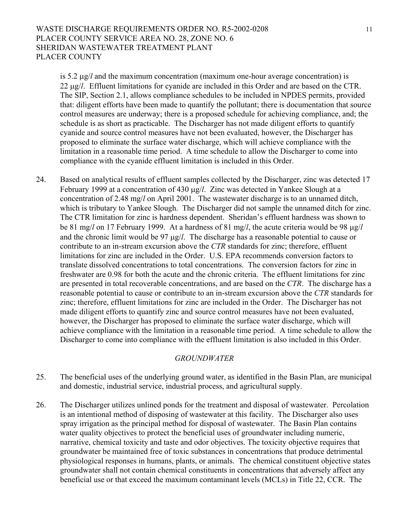# WASTE DISCHARGE REQUIREMENTS ORDER NO. R5-2002-0208 11 PLACER COUNTY SERVICE AREA NO. 28, ZONE NO. 6 SHERIDAN WASTEWATER TREATMENT PLANT PLACER COUNTY

is 5.2 µg/*l* and the maximum concentration (maximum one-hour average concentration) is 22 µg/*l*. Effluent limitations for cyanide are included in this Order and are based on the CTR. The SIP, Section 2.1, allows compliance schedules to be included in NPDES permits, provided that: diligent efforts have been made to quantify the pollutant; there is documentation that source control measures are underway; there is a proposed schedule for achieving compliance, and; the schedule is as short as practicable. The Discharger has not made diligent efforts to quantify cyanide and source control measures have not been evaluated, however, the Discharger has proposed to eliminate the surface water discharge, which will achieve compliance with the limitation in a reasonable time period. A time schedule to allow the Discharger to come into compliance with the cyanide effluent limitation is included in this Order.

24. Based on analytical results of effluent samples collected by the Discharger, zinc was detected 17 February 1999 at a concentration of 430 µg/*l*. Zinc was detected in Yankee Slough at a concentration of 2.48 mg/*l* on April 2001. The wastewater discharge is to an unnamed ditch, which is tributary to Yankee Slough. The Discharger did not sample the unnamed ditch for zinc. The CTR limitation for zinc is hardness dependent. Sheridan's effluent hardness was shown to be 81 mg/*l* on 17 February 1999. At a hardness of 81 mg/*l*, the acute criteria would be 98 µg/*l* and the chronic limit would be 97 µg/*l*. The discharge has a reasonable potential to cause or contribute to an in-stream excursion above the *CTR* standards for zinc; therefore, effluent limitations for zinc are included in the Order. U.S. EPA recommends conversion factors to translate dissolved concentrations to total concentrations. The conversion factors for zinc in freshwater are 0.98 for both the acute and the chronic criteria. The effluent limitations for zinc are presented in total recoverable concentrations, and are based on the *CTR*. The discharge has a reasonable potential to cause or contribute to an in-stream excursion above the *CTR* standards for zinc; therefore, effluent limitations for zinc are included in the Order. The Discharger has not made diligent efforts to quantify zinc and source control measures have not been evaluated, however, the Discharger has proposed to eliminate the surface water discharge, which will achieve compliance with the limitation in a reasonable time period. A time schedule to allow the Discharger to come into compliance with the effluent limitation is also included in this Order.

#### *GROUNDWATER*

- 25. The beneficial uses of the underlying ground water, as identified in the Basin Plan, are municipal and domestic, industrial service, industrial process, and agricultural supply.
- 26. The Discharger utilizes unlined ponds for the treatment and disposal of wastewater. Percolation is an intentional method of disposing of wastewater at this facility. The Discharger also uses spray irrigation as the principal method for disposal of wastewater. The Basin Plan contains water quality objectives to protect the beneficial uses of groundwater including numeric, narrative, chemical toxicity and taste and odor objectives. The toxicity objective requires that groundwater be maintained free of toxic substances in concentrations that produce detrimental physiological responses in humans, plants, or animals. The chemical constituent objective states groundwater shall not contain chemical constituents in concentrations that adversely affect any beneficial use or that exceed the maximum contaminant levels (MCLs) in Title 22, CCR. The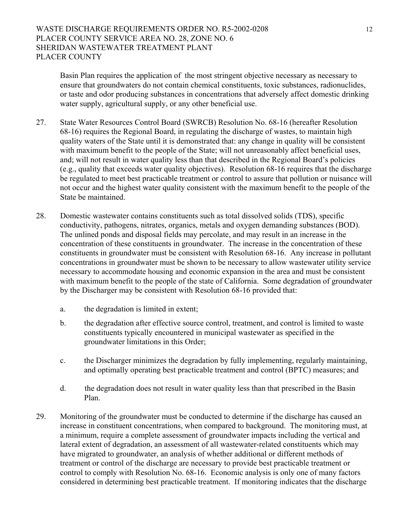Basin Plan requires the application of the most stringent objective necessary as necessary to ensure that groundwaters do not contain chemical constituents, toxic substances, radionuclides, or taste and odor producing substances in concentrations that adversely affect domestic drinking water supply, agricultural supply, or any other beneficial use.

- 27. State Water Resources Control Board (SWRCB) Resolution No. 68-16 (hereafter Resolution 68-16) requires the Regional Board, in regulating the discharge of wastes, to maintain high quality waters of the State until it is demonstrated that: any change in quality will be consistent with maximum benefit to the people of the State; will not unreasonably affect beneficial uses, and; will not result in water quality less than that described in the Regional Board's policies (e.g., quality that exceeds water quality objectives). Resolution 68-16 requires that the discharge be regulated to meet best practicable treatment or control to assure that pollution or nuisance will not occur and the highest water quality consistent with the maximum benefit to the people of the State be maintained.
- 28. Domestic wastewater contains constituents such as total dissolved solids (TDS), specific conductivity, pathogens, nitrates, organics, metals and oxygen demanding substances (BOD). The unlined ponds and disposal fields may percolate, and may result in an increase in the concentration of these constituents in groundwater. The increase in the concentration of these constituents in groundwater must be consistent with Resolution 68-16. Any increase in pollutant concentrations in groundwater must be shown to be necessary to allow wastewater utility service necessary to accommodate housing and economic expansion in the area and must be consistent with maximum benefit to the people of the state of California. Some degradation of groundwater by the Discharger may be consistent with Resolution 68-16 provided that:
	- a. the degradation is limited in extent;
	- b. the degradation after effective source control, treatment, and control is limited to waste constituents typically encountered in municipal wastewater as specified in the groundwater limitations in this Order;
	- c. the Discharger minimizes the degradation by fully implementing, regularly maintaining, and optimally operating best practicable treatment and control (BPTC) measures; and
	- d. the degradation does not result in water quality less than that prescribed in the Basin Plan.
- 29. Monitoring of the groundwater must be conducted to determine if the discharge has caused an increase in constituent concentrations, when compared to background. The monitoring must, at a minimum, require a complete assessment of groundwater impacts including the vertical and lateral extent of degradation, an assessment of all wastewater-related constituents which may have migrated to groundwater, an analysis of whether additional or different methods of treatment or control of the discharge are necessary to provide best practicable treatment or control to comply with Resolution No. 68-16. Economic analysis is only one of many factors considered in determining best practicable treatment. If monitoring indicates that the discharge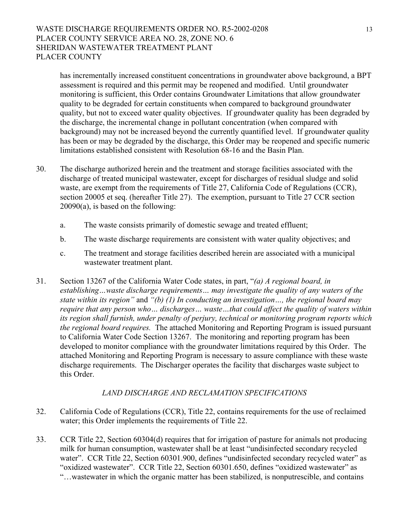# WASTE DISCHARGE REQUIREMENTS ORDER NO. R5-2002-0208 13 PLACER COUNTY SERVICE AREA NO. 28, ZONE NO. 6 SHERIDAN WASTEWATER TREATMENT PLANT PLACER COUNTY

has incrementally increased constituent concentrations in groundwater above background, a BPT assessment is required and this permit may be reopened and modified. Until groundwater monitoring is sufficient, this Order contains Groundwater Limitations that allow groundwater quality to be degraded for certain constituents when compared to background groundwater quality, but not to exceed water quality objectives. If groundwater quality has been degraded by the discharge, the incremental change in pollutant concentration (when compared with background) may not be increased beyond the currently quantified level. If groundwater quality has been or may be degraded by the discharge, this Order may be reopened and specific numeric limitations established consistent with Resolution 68-16 and the Basin Plan.

- 30. The discharge authorized herein and the treatment and storage facilities associated with the discharge of treated municipal wastewater, except for discharges of residual sludge and solid waste, are exempt from the requirements of Title 27, California Code of Regulations (CCR), section 20005 et seq. (hereafter Title 27). The exemption, pursuant to Title 27 CCR section 20090(a), is based on the following:
	- a. The waste consists primarily of domestic sewage and treated effluent;
	- b. The waste discharge requirements are consistent with water quality objectives; and
	- c. The treatment and storage facilities described herein are associated with a municipal wastewater treatment plant.
- 31. Section 13267 of the California Water Code states, in part, "*(a) A regional board, in establishing…waste discharge requirements… may investigate the quality of any waters of the state within its region"* and *"(b) (1) In conducting an investigation…, the regional board may require that any person who… discharges… waste…that could affect the quality of waters within its region shall furnish, under penalty of perjury, technical or monitoring program reports which the regional board requires.* The attached Monitoring and Reporting Program is issued pursuant to California Water Code Section 13267. The monitoring and reporting program has been developed to monitor compliance with the groundwater limitations required by this Order. The attached Monitoring and Reporting Program is necessary to assure compliance with these waste discharge requirements. The Discharger operates the facility that discharges waste subject to this Order.

#### *LAND DISCHARGE AND RECLAMATION SPECIFICATIONS*

- 32. California Code of Regulations (CCR), Title 22, contains requirements for the use of reclaimed water; this Order implements the requirements of Title 22.
- 33. CCR Title 22, Section 60304(d) requires that for irrigation of pasture for animals not producing milk for human consumption, wastewater shall be at least "undisinfected secondary recycled water". CCR Title 22, Section 60301.900, defines "undisinfected secondary recycled water" as "oxidized wastewater". CCR Title 22, Section 60301.650, defines "oxidized wastewater" as "…wastewater in which the organic matter has been stabilized, is nonputrescible, and contains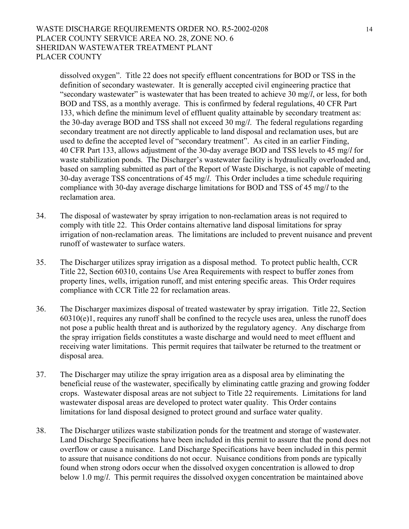### WASTE DISCHARGE REQUIREMENTS ORDER NO. R5-2002-0208 14 PLACER COUNTY SERVICE AREA NO. 28, ZONE NO. 6 SHERIDAN WASTEWATER TREATMENT PLANT PLACER COUNTY

dissolved oxygen". Title 22 does not specify effluent concentrations for BOD or TSS in the definition of secondary wastewater. It is generally accepted civil engineering practice that "secondary wastewater" is wastewater that has been treated to achieve 30 mg/*l*, or less, for both BOD and TSS, as a monthly average. This is confirmed by federal regulations, 40 CFR Part 133, which define the minimum level of effluent quality attainable by secondary treatment as: the 30-day average BOD and TSS shall not exceed 30 mg/*l*. The federal regulations regarding secondary treatment are not directly applicable to land disposal and reclamation uses, but are used to define the accepted level of "secondary treatment". As cited in an earlier Finding, 40 CFR Part 133, allows adjustment of the 30-day average BOD and TSS levels to 45 mg/*l* for waste stabilization ponds. The Discharger's wastewater facility is hydraulically overloaded and, based on sampling submitted as part of the Report of Waste Discharge, is not capable of meeting 30-day average TSS concentrations of 45 mg/*l*. This Order includes a time schedule requiring compliance with 30-day average discharge limitations for BOD and TSS of 45 mg/*l* to the reclamation area.

- 34. The disposal of wastewater by spray irrigation to non-reclamation areas is not required to comply with title 22. This Order contains alternative land disposal limitations for spray irrigation of non-reclamation areas. The limitations are included to prevent nuisance and prevent runoff of wastewater to surface waters.
- 35. The Discharger utilizes spray irrigation as a disposal method. To protect public health, CCR Title 22, Section 60310, contains Use Area Requirements with respect to buffer zones from property lines, wells, irrigation runoff, and mist entering specific areas. This Order requires compliance with CCR Title 22 for reclamation areas.
- 36. The Discharger maximizes disposal of treated wastewater by spray irrigation. Title 22, Section 60310(e)1, requires any runoff shall be confined to the recycle uses area, unless the runoff does not pose a public health threat and is authorized by the regulatory agency. Any discharge from the spray irrigation fields constitutes a waste discharge and would need to meet effluent and receiving water limitations. This permit requires that tailwater be returned to the treatment or disposal area.
- 37. The Discharger may utilize the spray irrigation area as a disposal area by eliminating the beneficial reuse of the wastewater, specifically by eliminating cattle grazing and growing fodder crops. Wastewater disposal areas are not subject to Title 22 requirements. Limitations for land wastewater disposal areas are developed to protect water quality. This Order contains limitations for land disposal designed to protect ground and surface water quality.
- 38. The Discharger utilizes waste stabilization ponds for the treatment and storage of wastewater. Land Discharge Specifications have been included in this permit to assure that the pond does not overflow or cause a nuisance. Land Discharge Specifications have been included in this permit to assure that nuisance conditions do not occur. Nuisance conditions from ponds are typically found when strong odors occur when the dissolved oxygen concentration is allowed to drop below 1.0 mg/*l*. This permit requires the dissolved oxygen concentration be maintained above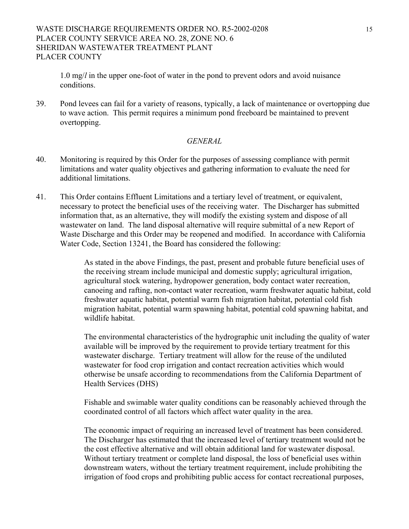# WASTE DISCHARGE REQUIREMENTS ORDER NO. R5-2002-0208 15 PLACER COUNTY SERVICE AREA NO. 28, ZONE NO. 6 SHERIDAN WASTEWATER TREATMENT PLANT PLACER COUNTY

1.0 mg/*l* in the upper one-foot of water in the pond to prevent odors and avoid nuisance conditions.

39. Pond levees can fail for a variety of reasons, typically, a lack of maintenance or overtopping due to wave action. This permit requires a minimum pond freeboard be maintained to prevent overtopping.

#### *GENERAL*

- 40. Monitoring is required by this Order for the purposes of assessing compliance with permit limitations and water quality objectives and gathering information to evaluate the need for additional limitations.
- 41. This Order contains Effluent Limitations and a tertiary level of treatment, or equivalent, necessary to protect the beneficial uses of the receiving water. The Discharger has submitted information that, as an alternative, they will modify the existing system and dispose of all wastewater on land. The land disposal alternative will require submittal of a new Report of Waste Discharge and this Order may be reopened and modified. In accordance with California Water Code, Section 13241, the Board has considered the following:

As stated in the above Findings, the past, present and probable future beneficial uses of the receiving stream include municipal and domestic supply; agricultural irrigation, agricultural stock watering, hydropower generation, body contact water recreation, canoeing and rafting, non-contact water recreation, warm freshwater aquatic habitat, cold freshwater aquatic habitat, potential warm fish migration habitat, potential cold fish migration habitat, potential warm spawning habitat, potential cold spawning habitat, and wildlife habitat.

 The environmental characteristics of the hydrographic unit including the quality of water available will be improved by the requirement to provide tertiary treatment for this wastewater discharge. Tertiary treatment will allow for the reuse of the undiluted wastewater for food crop irrigation and contact recreation activities which would otherwise be unsafe according to recommendations from the California Department of Health Services (DHS)

Fishable and swimable water quality conditions can be reasonably achieved through the coordinated control of all factors which affect water quality in the area.

The economic impact of requiring an increased level of treatment has been considered. The Discharger has estimated that the increased level of tertiary treatment would not be the cost effective alternative and will obtain additional land for wastewater disposal. Without tertiary treatment or complete land disposal, the loss of beneficial uses within downstream waters, without the tertiary treatment requirement, include prohibiting the irrigation of food crops and prohibiting public access for contact recreational purposes,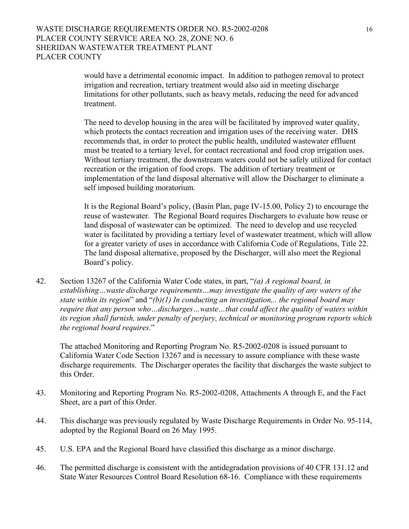would have a detrimental economic impact. In addition to pathogen removal to protect irrigation and recreation, tertiary treatment would also aid in meeting discharge limitations for other pollutants, such as heavy metals, reducing the need for advanced treatment.

 The need to develop housing in the area will be facilitated by improved water quality, which protects the contact recreation and irrigation uses of the receiving water. DHS recommends that, in order to protect the public health, undiluted wastewater effluent must be treated to a tertiary level, for contact recreational and food crop irrigation uses. Without tertiary treatment, the downstream waters could not be safely utilized for contact recreation or the irrigation of food crops. The addition of tertiary treatment or implementation of the land disposal alternative will allow the Discharger to eliminate a self imposed building moratorium.

It is the Regional Board's policy, (Basin Plan, page IV-15.00, Policy 2) to encourage the reuse of wastewater. The Regional Board requires Dischargers to evaluate how reuse or land disposal of wastewater can be optimized. The need to develop and use recycled water is facilitated by providing a tertiary level of wastewater treatment, which will allow for a greater variety of uses in accordance with California Code of Regulations, Title 22. The land disposal alternative, proposed by the Discharger, will also meet the Regional Board's policy.

42. Section 13267 of the California Water Code states, in part, "*(a) A regional board, in establishing…waste discharge requirements…may investigate the quality of any waters of the state within its region*" and "*(b)(1) In conducting an investigation,.. the regional board may require that any person who…discharges…waste…that could affect the quality of waters within its region shall furnish, under penalty of perjury, technical or monitoring program reports which the regional board requires.*"

The attached Monitoring and Reporting Program No. R5-2002-0208 is issued pursuant to California Water Code Section 13267 and is necessary to assure compliance with these waste discharge requirements. The Discharger operates the facility that discharges the waste subject to this Order.

- 43. Monitoring and Reporting Program No. R5-2002-0208, Attachments A through E, and the Fact Sheet, are a part of this Order.
- 44. This discharge was previously regulated by Waste Discharge Requirements in Order No. 95-114, adopted by the Regional Board on 26 May 1995.
- 45. U.S. EPA and the Regional Board have classified this discharge as a minor discharge.
- 46. The permitted discharge is consistent with the antidegradation provisions of 40 CFR 131.12 and State Water Resources Control Board Resolution 68-16. Compliance with these requirements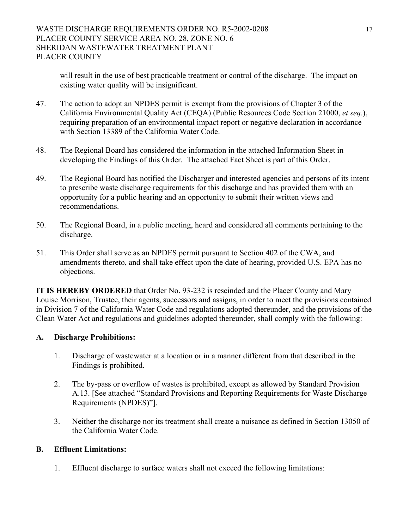will result in the use of best practicable treatment or control of the discharge. The impact on existing water quality will be insignificant.

- 47. The action to adopt an NPDES permit is exempt from the provisions of Chapter 3 of the California Environmental Quality Act (CEQA) (Public Resources Code Section 21000, *et seq*.), requiring preparation of an environmental impact report or negative declaration in accordance with Section 13389 of the California Water Code.
- 48. The Regional Board has considered the information in the attached Information Sheet in developing the Findings of this Order. The attached Fact Sheet is part of this Order.
- 49. The Regional Board has notified the Discharger and interested agencies and persons of its intent to prescribe waste discharge requirements for this discharge and has provided them with an opportunity for a public hearing and an opportunity to submit their written views and recommendations.
- 50. The Regional Board, in a public meeting, heard and considered all comments pertaining to the discharge.
- 51. This Order shall serve as an NPDES permit pursuant to Section 402 of the CWA, and amendments thereto, and shall take effect upon the date of hearing, provided U.S. EPA has no objections.

**IT IS HEREBY ORDERED** that Order No. 93-232 is rescinded and the Placer County and Mary Louise Morrison, Trustee, their agents, successors and assigns, in order to meet the provisions contained in Division 7 of the California Water Code and regulations adopted thereunder, and the provisions of the Clean Water Act and regulations and guidelines adopted thereunder, shall comply with the following:

# **A. Discharge Prohibitions:**

- 1. Discharge of wastewater at a location or in a manner different from that described in the Findings is prohibited.
- 2. The by-pass or overflow of wastes is prohibited, except as allowed by Standard Provision A.13. [See attached "Standard Provisions and Reporting Requirements for Waste Discharge Requirements (NPDES)"].
- 3. Neither the discharge nor its treatment shall create a nuisance as defined in Section 13050 of the California Water Code.

# **B. Effluent Limitations:**

1. Effluent discharge to surface waters shall not exceed the following limitations: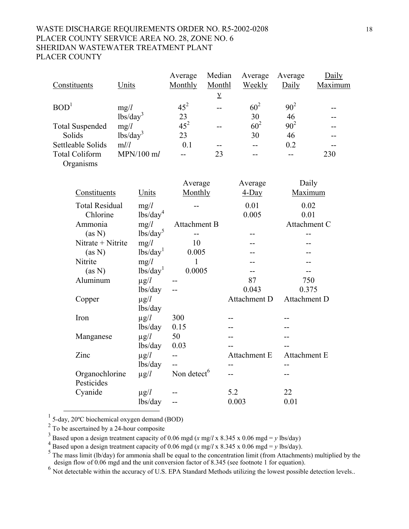# WASTE DISCHARGE REQUIREMENTS ORDER NO. R5-2002-0208 18 PLACER COUNTY SERVICE AREA NO. 28, ZONE NO. 6 SHERIDAN WASTEWATER TREATMENT PLANT PLACER COUNTY

<span id="page-17-1"></span><span id="page-17-0"></span>

|                        |                                        | Average                 | Median      | Average         | Average      | Daily   |
|------------------------|----------------------------------------|-------------------------|-------------|-----------------|--------------|---------|
| Constituents           | Units                                  | Monthly                 | Monthl      | <b>Weekly</b>   | Daily        | Maximum |
|                        |                                        |                         | $\mathbf y$ |                 |              |         |
| BOD <sup>1</sup>       | mg/l                                   | $45^2$                  | --          | $60^2$          | $90^2$       |         |
|                        | lbs/day <sup>3</sup>                   | 23                      |             | 30              | 46           |         |
| <b>Total Suspended</b> | mg/l                                   | $45^2$                  | --          | 60 <sup>2</sup> | $90^{2}$     |         |
| Solids                 | lbs/day <sup>3</sup>                   | 23                      |             | 30              | 46           |         |
| Settleable Solids      | mlll                                   | 0.1                     |             | $-$             | 0.2          |         |
| <b>Total Coliform</b>  | $MPN/100$ ml                           | $-$                     | 23          | --              | $-$          | 230     |
| Organisms              |                                        |                         |             |                 |              |         |
|                        |                                        |                         |             |                 |              |         |
|                        |                                        | Average                 |             | Average         | Daily        |         |
| Constituents           | Units                                  | Monthly                 |             | $4$ -Day        | Maximum      |         |
| <b>Total Residual</b>  | mg/l                                   |                         |             | 0.01            | 0.02         |         |
| Chlorine               | $\frac{1}{\text{bs}}\cdot\text{day}^4$ |                         |             | 0.005           | 0.01         |         |
| Ammonia                | mg/l                                   | Attachment B            |             |                 | Attachment C |         |
| (as N)                 | lbs/day <sup>5</sup>                   |                         |             | --              | --           |         |
| Nitrate + Nitrite      | mg/l                                   | 10                      |             |                 |              |         |
| (as N)                 | lbs/day <sup>1</sup>                   | 0.005                   |             |                 |              |         |
| Nitrite                | mg/l                                   | $\mathbf{1}$            |             |                 |              |         |
| (as N)                 | lbs/day <sup>1</sup>                   | 0.0005                  |             | --              |              |         |
| Aluminum               | $\mu$ g/ $l$                           |                         |             | 87              | 750          |         |
|                        | lbs/day                                |                         |             | 0.043           | 0.375        |         |
| Copper                 | $\mu$ g/ $l$                           |                         |             | Attachment D    | Attachment D |         |
|                        | lbs/day                                |                         |             |                 |              |         |
| Iron                   | $\mu$ g/l                              | 300                     |             |                 |              |         |
|                        | lbs/day                                | 0.15                    |             |                 |              |         |
| Manganese              | $\mu$ g/ $l$                           | 50                      |             |                 |              |         |
|                        | lbs/day                                | 0.03                    |             |                 |              |         |
| Zinc                   | $\mu$ g/ $l$                           | $-$                     |             | Attachment E    | Attachment E |         |
|                        | lbs/day                                | $\overline{a}$          |             | $-$             | $-$          |         |
| Organochlorine         | $\mu$ g/ $l$                           | Non detect <sup>6</sup> |             | $-$             | --           |         |
| Pesticides             |                                        |                         |             |                 |              |         |
| Cyanide                | $\mu$ g/ $l$                           |                         |             | 5.2             | 22           |         |
|                        | lbs/day                                | --                      |             | 0.003           | 0.01         |         |

<span id="page-17-2"></span>1 5-day, 20ºC biochemical oxygen demand (BOD)

<span id="page-17-3"></span> $2^{\frac{2}{3}}$  To be ascertained by a 24-hour composite

<span id="page-17-4"></span><sup>3</sup> Based upon a design treatment capacity of 0.06 mgd (*x* mg/*l* x 8.345 x 0.06 mgd = *y* lbs/day)  $\frac{4}{5}$  Based upon a design treatment capacity of 0.06 mgd (*x* mg/*l* x 8.345 x 0.06 mgd = *y* lbs/day).

<span id="page-17-6"></span>

<span id="page-17-5"></span><sup>4</sup> Based upon a design treatment capacity of 0.06 mgd (x mg/l x 8.345 x 0.06 mgd = y lbs/day).<br><sup>5</sup> The mass limit (lb/day) for ammonia shall be equal to the concentration limit (from Attachments) multiplied by the design flow of 0.06 mgd and the unit conversion factor of 8.345 (see footnote 1 for equation).

<span id="page-17-7"></span><sup>6</sup> Not detectable within the accuracy of U.S. EPA Standard Methods utilizing the lowest possible detection levels..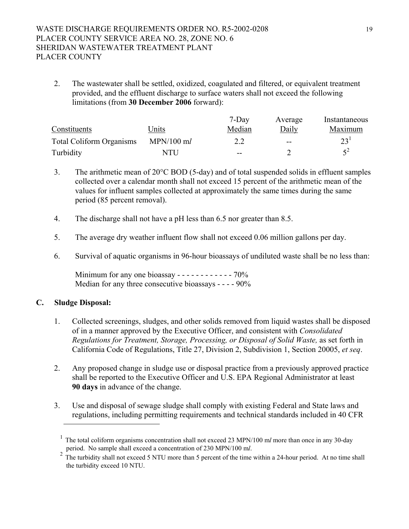2. The wastewater shall be settled, oxidized, coagulated and filtered, or equivalent treatment provided, and the effluent discharge to surface waters shall not exceed the following limitations (from **30 December 2006** forward):

|                                 |              | $7-Dav$ | Average                  | Instantaneous   |
|---------------------------------|--------------|---------|--------------------------|-----------------|
| Constituents                    | Units        | Median  | Daily                    | <b>Maximum</b>  |
| <b>Total Coliform Organisms</b> | $MPN/100$ ml | 2.2     | $\overline{\phantom{m}}$ | 23 <sup>1</sup> |
| Turbidity                       | NTU          | $- -$   |                          | $5^2$           |

- 3. The arithmetic mean of 20°C BOD (5-day) and of total suspended solids in effluent samples collected over a calendar month shall not exceed 15 percent of the arithmetic mean of the values for influent samples collected at approximately the same times during the same period (85 percent removal).
- 4. The discharge shall not have a pH less than 6.5 nor greater than 8.5.
- 5. The average dry weather influent flow shall not exceed 0.06 million gallons per day.
- 6. Survival of aquatic organisms in 96-hour bioassays of undiluted waste shall be no less than:

Minimum for any one bioassay - - - - - - - - - - - - 70% Median for any three consecutive bioassays - - - - 90%

# **C. Sludge Disposal:**

- 1. Collected screenings, sludges, and other solids removed from liquid wastes shall be disposed of in a manner approved by the Executive Officer, and consistent with *Consolidated Regulations for Treatment, Storage, Processing, or Disposal of Solid Waste,* as set forth in California Code of Regulations, Title 27, Division 2, Subdivision 1, Section 20005, *et seq*.
- 2. Any proposed change in sludge use or disposal practice from a previously approved practice shall be reported to the Executive Officer and U.S. EPA Regional Administrator at least **90 days** in advance of the change.
- 3. Use and disposal of sewage sludge shall comply with existing Federal and State laws and regulations, including permitting requirements and technical standards included in 40 CFR

<span id="page-18-0"></span><sup>&</sup>lt;sup>1</sup> The total coliform organisms concentration shall not exceed 23 MPN/100 ml more than once in any 30-day

period. No sample shall exceed a concentration of 230 MPN/100 m*l*.<br><sup>2</sup> The turbidity shall not exceed 5 NTU more than 5 percent of the time within a 24-hour period. At no time shall the turbidity exceed 10 NTU.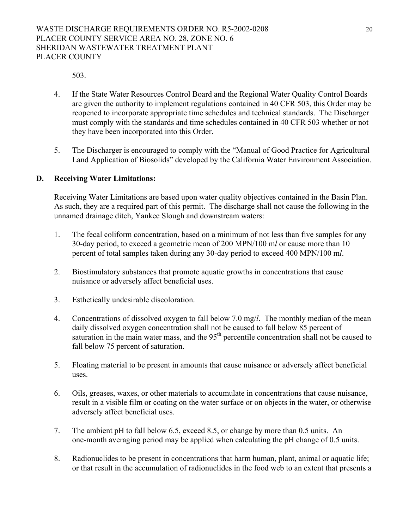503.

- 4. If the State Water Resources Control Board and the Regional Water Quality Control Boards are given the authority to implement regulations contained in 40 CFR 503, this Order may be reopened to incorporate appropriate time schedules and technical standards. The Discharger must comply with the standards and time schedules contained in 40 CFR 503 whether or not they have been incorporated into this Order.
- 5. The Discharger is encouraged to comply with the "Manual of Good Practice for Agricultural Land Application of Biosolids" developed by the California Water Environment Association.

# **D. Receiving Water Limitations:**

Receiving Water Limitations are based upon water quality objectives contained in the Basin Plan. As such, they are a required part of this permit. The discharge shall not cause the following in the unnamed drainage ditch, Yankee Slough and downstream waters:

- <span id="page-19-0"></span>1. The fecal coliform concentration, based on a minimum of not less than five samples for any 30-day period, to exceed a geometric mean of 200 MPN/100 m*l* or cause more than 10 percent of total samples taken during any 30-day period to exceed 400 MPN/100 m*l*.
- <span id="page-19-1"></span>2. Biostimulatory substances that promote aquatic growths in concentrations that cause nuisance or adversely affect beneficial uses.
- 3. Esthetically undesirable discoloration.
- 4. Concentrations of dissolved oxygen to fall below 7.0 mg/*l*. The monthly median of the mean daily dissolved oxygen concentration shall not be caused to fall below 85 percent of saturation in the main water mass, and the  $95<sup>th</sup>$  percentile concentration shall not be caused to fall below 75 percent of saturation.
- <span id="page-19-3"></span><span id="page-19-2"></span>5. Floating material to be present in amounts that cause nuisance or adversely affect beneficial uses.
- 6. Oils, greases, waxes, or other materials to accumulate in concentrations that cause nuisance, result in a visible film or coating on the water surface or on objects in the water, or otherwise adversely affect beneficial uses.
- 7. The ambient pH to fall below 6.5, exceed 8.5, or change by more than 0.5 units. An one-month averaging period may be applied when calculating the pH change of 0.5 units.
- 8. Radionuclides to be present in concentrations that harm human, plant, animal or aquatic life; or that result in the accumulation of radionuclides in the food web to an extent that presents a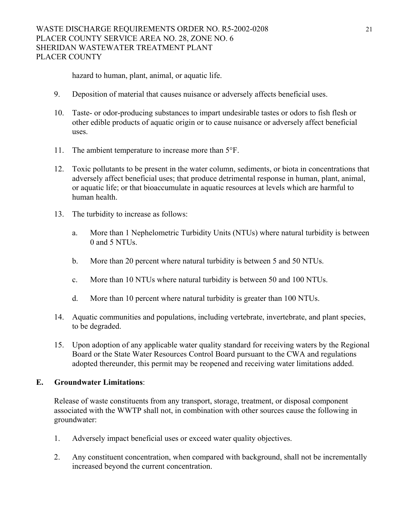<span id="page-20-3"></span><span id="page-20-2"></span><span id="page-20-1"></span>hazard to human, plant, animal, or aquatic life.

- 9. Deposition of material that causes nuisance or adversely affects beneficial uses.
- 10. Taste- or odor-producing substances to impart undesirable tastes or odors to fish flesh or other edible products of aquatic origin or to cause nuisance or adversely affect beneficial uses.
- 11. The ambient temperature to increase more than  $5^{\circ}$ F.
- 12. Toxic pollutants to be present in the water column, sediments, or biota in concentrations that adversely affect beneficial uses; that produce detrimental response in human, plant, animal, or aquatic life; or that bioaccumulate in aquatic resources at levels which are harmful to human health.
- 13. The turbidity to increase as follows:
	- a. More than 1 Nephelometric Turbidity Units (NTUs) where natural turbidity is between 0 and 5 NTUs.
	- b. More than 20 percent where natural turbidity is between 5 and 50 NTUs.
	- c. More than 10 NTUs where natural turbidity is between 50 and 100 NTUs.
	- d. More than 10 percent where natural turbidity is greater than 100 NTUs.
- 14. Aquatic communities and populations, including vertebrate, invertebrate, and plant species, to be degraded.
- 15. Upon adoption of any applicable water quality standard for receiving waters by the Regional Board or the State Water Resources Control Board pursuant to the CWA and regulations adopted thereunder, this permit may be reopened and receiving water limitations added.

### **E. Groundwater Limitations**:

Release of waste constituents from any transport, storage, treatment, or disposal component associated with the WWTP shall not, in combination with other sources cause the following in groundwater:

- <span id="page-20-0"></span>1. Adversely impact beneficial uses or exceed water quality objectives.
- 2. Any constituent concentration, when compared with background, shall not be incrementally increased beyond the current concentration.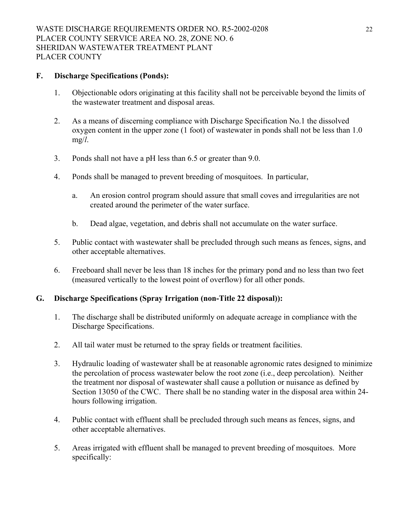# **F. Discharge Specifications (Ponds):**

- 1. Objectionable odors originating at this facility shall not be perceivable beyond the limits of the wastewater treatment and disposal areas.
- 2. As a means of discerning compliance with Discharge Specification No.1 the dissolved oxygen content in the upper zone (1 foot) of wastewater in ponds shall not be less than 1.0 mg/*l*.
- 3. Ponds shall not have a pH less than 6.5 or greater than 9.0.
- 4. Ponds shall be managed to prevent breeding of mosquitoes. In particular,
	- a. An erosion control program should assure that small coves and irregularities are not created around the perimeter of the water surface.
	- b. Dead algae, vegetation, and debris shall not accumulate on the water surface.
- 5. Public contact with wastewater shall be precluded through such means as fences, signs, and other acceptable alternatives.
- 6. Freeboard shall never be less than 18 inches for the primary pond and no less than two feet (measured vertically to the lowest point of overflow) for all other ponds.

#### **G. Discharge Specifications (Spray Irrigation (non-Title 22 disposal)):**

- 1. The discharge shall be distributed uniformly on adequate acreage in compliance with the Discharge Specifications.
- 2. All tail water must be returned to the spray fields or treatment facilities.
- 3. Hydraulic loading of wastewater shall be at reasonable agronomic rates designed to minimize the percolation of process wastewater below the root zone (i.e., deep percolation). Neither the treatment nor disposal of wastewater shall cause a pollution or nuisance as defined by Section 13050 of the CWC. There shall be no standing water in the disposal area within 24 hours following irrigation.
- 4. Public contact with effluent shall be precluded through such means as fences, signs, and other acceptable alternatives.
- 5. Areas irrigated with effluent shall be managed to prevent breeding of mosquitoes. More specifically: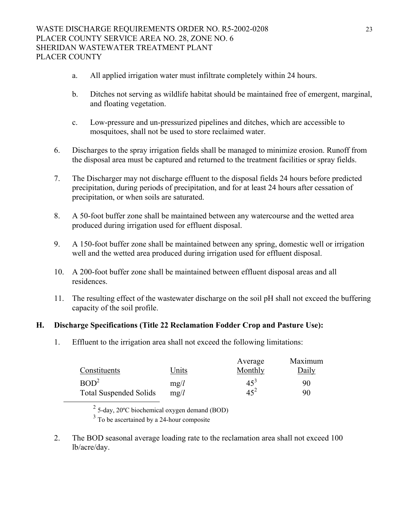- a. All applied irrigation water must infiltrate completely within 24 hours.
- b. Ditches not serving as wildlife habitat should be maintained free of emergent, marginal, and floating vegetation.
- c. Low-pressure and un-pressurized pipelines and ditches, which are accessible to mosquitoes, shall not be used to store reclaimed water.
- 6. Discharges to the spray irrigation fields shall be managed to minimize erosion. Runoff from the disposal area must be captured and returned to the treatment facilities or spray fields.
- 7. The Discharger may not discharge effluent to the disposal fields 24 hours before predicted precipitation, during periods of precipitation, and for at least 24 hours after cessation of precipitation, or when soils are saturated.
- 8. A 50-foot buffer zone shall be maintained between any watercourse and the wetted area produced during irrigation used for effluent disposal.
- 9. A 150-foot buffer zone shall be maintained between any spring, domestic well or irrigation well and the wetted area produced during irrigation used for effluent disposal.
- 10. A 200-foot buffer zone shall be maintained between effluent disposal areas and all residences.
- 11. The resulting effect of the wastewater discharge on the soil pH shall not exceed the buffering capacity of the soil profile.

# **H. Discharge Specifications (Title 22 Reclamation Fodder Crop and Pasture Use):**

1. Effluent to the irrigation area shall not exceed the following limitations:

|                               |       | Average         | Maximum |
|-------------------------------|-------|-----------------|---------|
| Constituents                  | Units | Monthly         | Daily   |
| BOD <sup>2</sup>              | mg/l  | 45 <sup>3</sup> | 90      |
| <b>Total Suspended Solids</b> | mg/l  | $45^2$          | 90      |

<span id="page-22-0"></span>2 5-day, 20ºC biochemical oxygen demand (BOD)

<span id="page-22-1"></span> $3$  To be ascertained by a 24-hour composite

2. The BOD seasonal average loading rate to the reclamation area shall not exceed 100 lb/acre/day.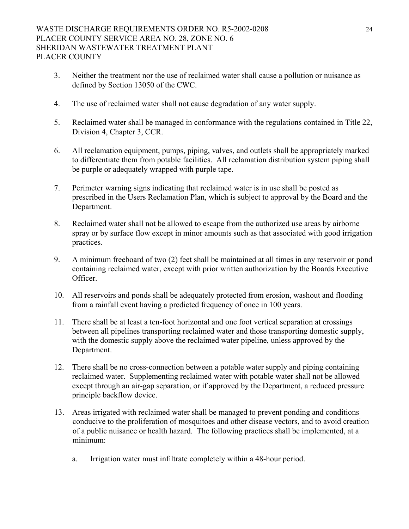- 3. Neither the treatment nor the use of reclaimed water shall cause a pollution or nuisance as defined by Section 13050 of the CWC.
- 4. The use of reclaimed water shall not cause degradation of any water supply.
- 5. Reclaimed water shall be managed in conformance with the regulations contained in Title 22, Division 4, Chapter 3, CCR.
- 6. All reclamation equipment, pumps, piping, valves, and outlets shall be appropriately marked to differentiate them from potable facilities. All reclamation distribution system piping shall be purple or adequately wrapped with purple tape.
- 7. Perimeter warning signs indicating that reclaimed water is in use shall be posted as prescribed in the Users Reclamation Plan, which is subject to approval by the Board and the Department.
- 8. Reclaimed water shall not be allowed to escape from the authorized use areas by airborne spray or by surface flow except in minor amounts such as that associated with good irrigation practices.
- 9. A minimum freeboard of two (2) feet shall be maintained at all times in any reservoir or pond containing reclaimed water, except with prior written authorization by the Boards Executive Officer.
- 10. All reservoirs and ponds shall be adequately protected from erosion, washout and flooding from a rainfall event having a predicted frequency of once in 100 years.
- 11. There shall be at least a ten-foot horizontal and one foot vertical separation at crossings between all pipelines transporting reclaimed water and those transporting domestic supply, with the domestic supply above the reclaimed water pipeline, unless approved by the Department.
- 12. There shall be no cross-connection between a potable water supply and piping containing reclaimed water. Supplementing reclaimed water with potable water shall not be allowed except through an air-gap separation, or if approved by the Department, a reduced pressure principle backflow device.
- 13. Areas irrigated with reclaimed water shall be managed to prevent ponding and conditions conducive to the proliferation of mosquitoes and other disease vectors, and to avoid creation of a public nuisance or health hazard. The following practices shall be implemented, at a minimum:
	- a. Irrigation water must infiltrate completely within a 48-hour period.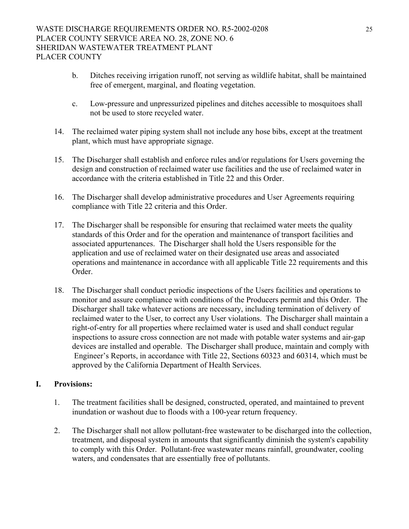- b. Ditches receiving irrigation runoff, not serving as wildlife habitat, shall be maintained free of emergent, marginal, and floating vegetation.
- c. Low-pressure and unpressurized pipelines and ditches accessible to mosquitoes shall not be used to store recycled water.
- 14. The reclaimed water piping system shall not include any hose bibs, except at the treatment plant, which must have appropriate signage.
- 15. The Discharger shall establish and enforce rules and/or regulations for Users governing the design and construction of reclaimed water use facilities and the use of reclaimed water in accordance with the criteria established in Title 22 and this Order.
- 16. The Discharger shall develop administrative procedures and User Agreements requiring compliance with Title 22 criteria and this Order.
- 17. The Discharger shall be responsible for ensuring that reclaimed water meets the quality standards of this Order and for the operation and maintenance of transport facilities and associated appurtenances. The Discharger shall hold the Users responsible for the application and use of reclaimed water on their designated use areas and associated operations and maintenance in accordance with all applicable Title 22 requirements and this Order.
- 18. The Discharger shall conduct periodic inspections of the Users facilities and operations to monitor and assure compliance with conditions of the Producers permit and this Order. The Discharger shall take whatever actions are necessary, including termination of delivery of reclaimed water to the User, to correct any User violations. The Discharger shall maintain a right-of-entry for all properties where reclaimed water is used and shall conduct regular inspections to assure cross connection are not made with potable water systems and air-gap devices are installed and operable. The Discharger shall produce, maintain and comply with Engineer's Reports, in accordance with Title 22, Sections 60323 and 60314, which must be approved by the California Department of Health Services.

# **I. Provisions:**

- 1. The treatment facilities shall be designed, constructed, operated, and maintained to prevent inundation or washout due to floods with a 100-year return frequency.
- 2. The Discharger shall not allow pollutant-free wastewater to be discharged into the collection, treatment, and disposal system in amounts that significantly diminish the system's capability to comply with this Order. Pollutant-free wastewater means rainfall, groundwater, cooling waters, and condensates that are essentially free of pollutants.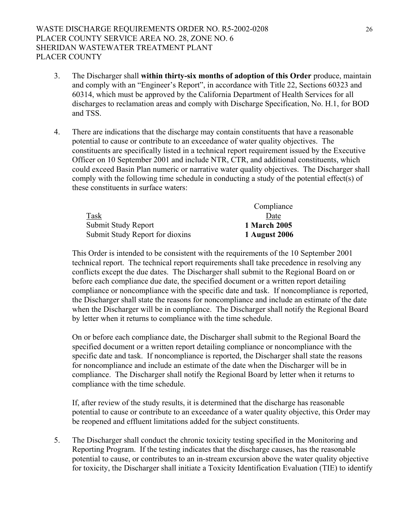- 3. The Discharger shall **within thirty-six months of adoption of this Order** produce, maintain and comply with an "Engineer's Report", in accordance with Title 22, Sections 60323 and 60314, which must be approved by the California Department of Health Services for all discharges to reclamation areas and comply with Discharge Specification, No. H.1, for BOD and TSS.
- 4. There are indications that the discharge may contain constituents that have a reasonable potential to cause or contribute to an exceedance of water quality objectives. The constituents are specifically listed in a technical report requirement issued by the Executive Officer on 10 September 2001 and include NTR, CTR, and additional constituents, which could exceed Basin Plan numeric or narrative water quality objectives. The Discharger shall comply with the following time schedule in conducting a study of the potential effect(s) of these constituents in surface waters:

|                                 | Compliance          |
|---------------------------------|---------------------|
| Task                            | Date                |
| Submit Study Report             | <b>1 March 2005</b> |
| Submit Study Report for dioxins | 1 August 2006       |

This Order is intended to be consistent with the requirements of the 10 September 2001 technical report. The technical report requirements shall take precedence in resolving any conflicts except the due dates. The Discharger shall submit to the Regional Board on or before each compliance due date, the specified document or a written report detailing compliance or noncompliance with the specific date and task. If noncompliance is reported, the Discharger shall state the reasons for noncompliance and include an estimate of the date when the Discharger will be in compliance. The Discharger shall notify the Regional Board by letter when it returns to compliance with the time schedule.

On or before each compliance date, the Discharger shall submit to the Regional Board the specified document or a written report detailing compliance or noncompliance with the specific date and task. If noncompliance is reported, the Discharger shall state the reasons for noncompliance and include an estimate of the date when the Discharger will be in compliance. The Discharger shall notify the Regional Board by letter when it returns to compliance with the time schedule.

If, after review of the study results, it is determined that the discharge has reasonable potential to cause or contribute to an exceedance of a water quality objective, this Order may be reopened and effluent limitations added for the subject constituents.

5. The Discharger shall conduct the chronic toxicity testing specified in the Monitoring and Reporting Program. If the testing indicates that the discharge causes, has the reasonable potential to cause, or contributes to an in-stream excursion above the water quality objective for toxicity, the Discharger shall initiate a Toxicity Identification Evaluation (TIE) to identify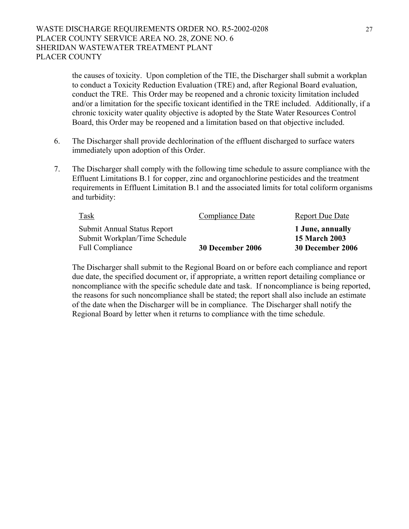the causes of toxicity. Upon completion of the TIE, the Discharger shall submit a workplan to conduct a Toxicity Reduction Evaluation (TRE) and, after Regional Board evaluation, conduct the TRE. This Order may be reopened and a chronic toxicity limitation included and/or a limitation for the specific toxicant identified in the TRE included. Additionally, if a chronic toxicity water quality objective is adopted by the State Water Resources Control Board, this Order may be reopened and a limitation based on that objective included.

- 6. The Discharger shall provide dechlorination of the effluent discharged to surface waters immediately upon adoption of this Order.
- 7. The Discharger shall comply with the following time schedule to assure compliance with the Effluent Limitations B.1 for copper, zinc and organochlorine pesticides and the treatment requirements in Effluent Limitation B.1 and the associated limits for total coliform organisms and turbidity:

| <b>Task</b>                   | Compliance Date  | <b>Report Due Date</b> |
|-------------------------------|------------------|------------------------|
| Submit Annual Status Report   |                  | 1 June, annually       |
| Submit Workplan/Time Schedule |                  | <b>15 March 2003</b>   |
| <b>Full Compliance</b>        | 30 December 2006 | 30 December 2006       |

The Discharger shall submit to the Regional Board on or before each compliance and report due date, the specified document or, if appropriate, a written report detailing compliance or noncompliance with the specific schedule date and task. If noncompliance is being reported, the reasons for such noncompliance shall be stated; the report shall also include an estimate of the date when the Discharger will be in compliance. The Discharger shall notify the Regional Board by letter when it returns to compliance with the time schedule.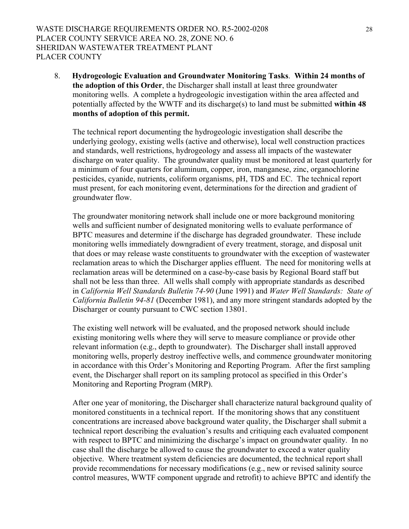8. **Hydrogeologic Evaluation and Groundwater Monitoring Tasks**. **Within 24 months of the adoption of this Order**, the Discharger shall install at least three groundwater monitoring wells. A complete a hydrogeologic investigation within the area affected and potentially affected by the WWTF and its discharge(s) to land must be submitted **within 48 months of adoption of this permit.** 

The technical report documenting the hydrogeologic investigation shall describe the underlying geology, existing wells (active and otherwise), local well construction practices and standards, well restrictions, hydrogeology and assess all impacts of the wastewater discharge on water quality. The groundwater quality must be monitored at least quarterly for a minimum of four quarters for aluminum, copper, iron, manganese, zinc, organochlorine pesticides, cyanide, nutrients, coliform organisms, pH, TDS and EC. The technical report must present, for each monitoring event, determinations for the direction and gradient of groundwater flow.

The groundwater monitoring network shall include one or more background monitoring wells and sufficient number of designated monitoring wells to evaluate performance of BPTC measures and determine if the discharge has degraded groundwater. These include monitoring wells immediately downgradient of every treatment, storage, and disposal unit that does or may release waste constituents to groundwater with the exception of wastewater reclamation areas to which the Discharger applies effluent. The need for monitoring wells at reclamation areas will be determined on a case-by-case basis by Regional Board staff but shall not be less than three. All wells shall comply with appropriate standards as described in *California Well Standards Bulletin 74-90* (June 1991) and *Water Well Standards: State of California Bulletin 94-81* (December 1981), and any more stringent standards adopted by the Discharger or county pursuant to CWC section 13801.

The existing well network will be evaluated, and the proposed network should include existing monitoring wells where they will serve to measure compliance or provide other relevant information (e.g., depth to groundwater). The Discharger shall install approved monitoring wells, properly destroy ineffective wells, and commence groundwater monitoring in accordance with this Order's Monitoring and Reporting Program. After the first sampling event, the Discharger shall report on its sampling protocol as specified in this Order's Monitoring and Reporting Program (MRP).

After one year of monitoring, the Discharger shall characterize natural background quality of monitored constituents in a technical report. If the monitoring shows that any constituent concentrations are increased above background water quality, the Discharger shall submit a technical report describing the evaluation's results and critiquing each evaluated component with respect to BPTC and minimizing the discharge's impact on groundwater quality. In no case shall the discharge be allowed to cause the groundwater to exceed a water quality objective. Where treatment system deficiencies are documented, the technical report shall provide recommendations for necessary modifications (e.g., new or revised salinity source control measures, WWTF component upgrade and retrofit) to achieve BPTC and identify the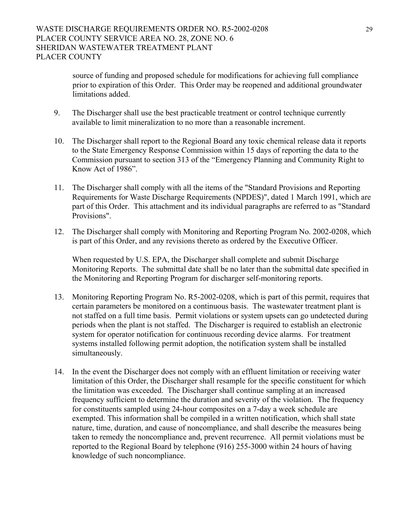source of funding and proposed schedule for modifications for achieving full compliance prior to expiration of this Order. This Order may be reopened and additional groundwater limitations added.

- 9. The Discharger shall use the best practicable treatment or control technique currently available to limit mineralization to no more than a reasonable increment.
- 10. The Discharger shall report to the Regional Board any toxic chemical release data it reports to the State Emergency Response Commission within 15 days of reporting the data to the Commission pursuant to section 313 of the "Emergency Planning and Community Right to Know Act of 1986".
- 11. The Discharger shall comply with all the items of the "Standard Provisions and Reporting Requirements for Waste Discharge Requirements (NPDES)", dated 1 March 1991, which are part of this Order. This attachment and its individual paragraphs are referred to as "Standard Provisions".
- 12. The Discharger shall comply with Monitoring and Reporting Program No. 2002-0208, which is part of this Order, and any revisions thereto as ordered by the Executive Officer.

When requested by U.S. EPA, the Discharger shall complete and submit Discharge Monitoring Reports. The submittal date shall be no later than the submittal date specified in the Monitoring and Reporting Program for discharger self-monitoring reports.

- 13. Monitoring Reporting Program No. R5-2002-0208, which is part of this permit, requires that certain parameters be monitored on a continuous basis. The wastewater treatment plant is not staffed on a full time basis. Permit violations or system upsets can go undetected during periods when the plant is not staffed. The Discharger is required to establish an electronic system for operator notification for continuous recording device alarms. For treatment systems installed following permit adoption, the notification system shall be installed simultaneously.
- 14. In the event the Discharger does not comply with an effluent limitation or receiving water limitation of this Order, the Discharger shall resample for the specific constituent for which the limitation was exceeded. The Discharger shall continue sampling at an increased frequency sufficient to determine the duration and severity of the violation. The frequency for constituents sampled using 24-hour composites on a 7-day a week schedule are exempted. This information shall be compiled in a written notification, which shall state nature, time, duration, and cause of noncompliance, and shall describe the measures being taken to remedy the noncompliance and, prevent recurrence. All permit violations must be reported to the Regional Board by telephone (916) 255-3000 within 24 hours of having knowledge of such noncompliance.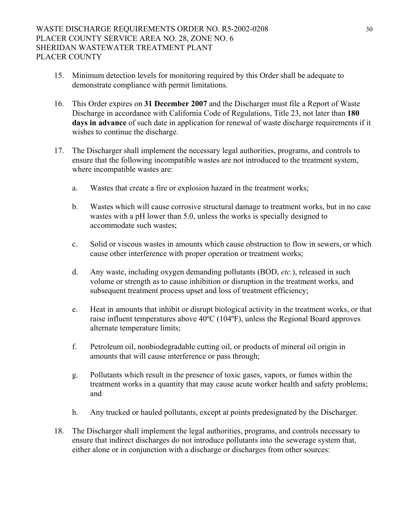- 15. Minimum detection levels for monitoring required by this Order shall be adequate to demonstrate compliance with permit limitations.
- 16. This Order expires on **31 December 2007** and the Discharger must file a Report of Waste Discharge in accordance with California Code of Regulations, Title 23, not later than **180 days in advance** of such date in application for renewal of waste discharge requirements if it wishes to continue the discharge.
- 17. The Discharger shall implement the necessary legal authorities, programs, and controls to ensure that the following incompatible wastes are not introduced to the treatment system, where incompatible wastes are:
	- a. Wastes that create a fire or explosion hazard in the treatment works;
	- b. Wastes which will cause corrosive structural damage to treatment works, but in no case wastes with a pH lower than 5.0, unless the works is specially designed to accommodate such wastes;
	- c. Solid or viscous wastes in amounts which cause obstruction to flow in sewers, or which cause other interference with proper operation or treatment works;
	- d. Any waste, including oxygen demanding pollutants (BOD, *etc.*), released in such volume or strength as to cause inhibition or disruption in the treatment works, and subsequent treatment process upset and loss of treatment efficiency;
	- e. Heat in amounts that inhibit or disrupt biological activity in the treatment works, or that raise influent temperatures above 40ºC (104ºF), unless the Regional Board approves alternate temperature limits;
	- f. Petroleum oil, nonbiodegradable cutting oil, or products of mineral oil origin in amounts that will cause interference or pass through;
	- g. Pollutants which result in the presence of toxic gases, vapors, or fumes within the treatment works in a quantity that may cause acute worker health and safety problems; and
	- h. Any trucked or hauled pollutants, except at points predesignated by the Discharger.
- 18. The Discharger shall implement the legal authorities, programs, and controls necessary to ensure that indirect discharges do not introduce pollutants into the sewerage system that, either alone or in conjunction with a discharge or discharges from other sources: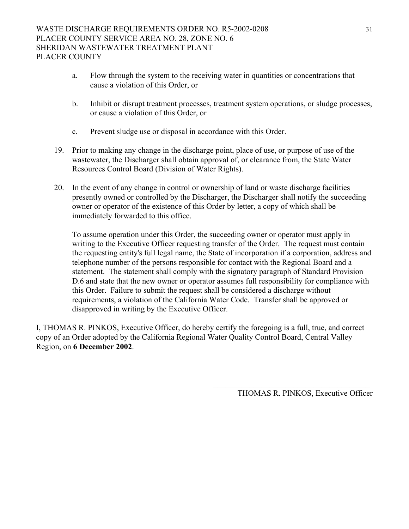- a. Flow through the system to the receiving water in quantities or concentrations that cause a violation of this Order, or
- b. Inhibit or disrupt treatment processes, treatment system operations, or sludge processes, or cause a violation of this Order, or
- c. Prevent sludge use or disposal in accordance with this Order.
- 19. Prior to making any change in the discharge point, place of use, or purpose of use of the wastewater, the Discharger shall obtain approval of, or clearance from, the State Water Resources Control Board (Division of Water Rights).
- 20. In the event of any change in control or ownership of land or waste discharge facilities presently owned or controlled by the Discharger, the Discharger shall notify the succeeding owner or operator of the existence of this Order by letter, a copy of which shall be immediately forwarded to this office.

To assume operation under this Order, the succeeding owner or operator must apply in writing to the Executive Officer requesting transfer of the Order. The request must contain the requesting entity's full legal name, the State of incorporation if a corporation, address and telephone number of the persons responsible for contact with the Regional Board and a statement. The statement shall comply with the signatory paragraph of Standard Provision D.6 and state that the new owner or operator assumes full responsibility for compliance with this Order. Failure to submit the request shall be considered a discharge without requirements, a violation of the California Water Code. Transfer shall be approved or disapproved in writing by the Executive Officer.

I, THOMAS R. PINKOS, Executive Officer, do hereby certify the foregoing is a full, true, and correct copy of an Order adopted by the California Regional Water Quality Control Board, Central Valley Region, on **6 December 2002**.

 $\frac{1}{\sqrt{2}}$  ,  $\frac{1}{\sqrt{2}}$  ,  $\frac{1}{\sqrt{2}}$  ,  $\frac{1}{\sqrt{2}}$  ,  $\frac{1}{\sqrt{2}}$  ,  $\frac{1}{\sqrt{2}}$  ,  $\frac{1}{\sqrt{2}}$  ,  $\frac{1}{\sqrt{2}}$  ,  $\frac{1}{\sqrt{2}}$  ,  $\frac{1}{\sqrt{2}}$  ,  $\frac{1}{\sqrt{2}}$  ,  $\frac{1}{\sqrt{2}}$  ,  $\frac{1}{\sqrt{2}}$  ,  $\frac{1}{\sqrt{2}}$  ,  $\frac{1}{\sqrt{2}}$ 

THOMAS R. PINKOS, Executive Officer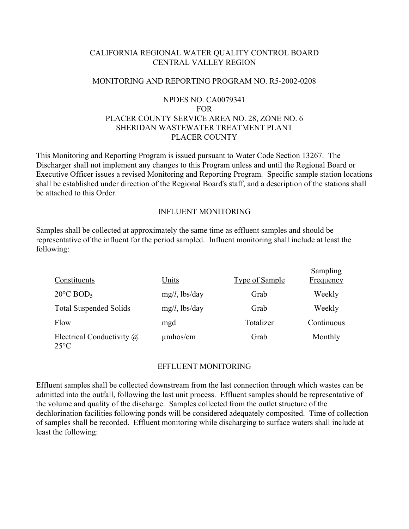# CALIFORNIA REGIONAL WATER QUALITY CONTROL BOARD CENTRAL VALLEY REGION

#### MONITORING AND REPORTING PROGRAM NO. R5-2002-0208

# NPDES NO. CA0079341 FOR PLACER COUNTY SERVICE AREA NO. 28, ZONE NO. 6 SHERIDAN WASTEWATER TREATMENT PLANT PLACER COUNTY

This Monitoring and Reporting Program is issued pursuant to Water Code Section 13267. The Discharger shall not implement any changes to this Program unless and until the Regional Board or Executive Officer issues a revised Monitoring and Reporting Program. Specific sample station locations shall be established under direction of the Regional Board's staff, and a description of the stations shall be attached to this Order.

#### INFLUENT MONITORING

Samples shall be collected at approximately the same time as effluent samples and should be representative of the influent for the period sampled. Influent monitoring shall include at least the following:

| Constituents                                       | Units            | <b>Type of Sample</b> | Sampling<br><b>Frequency</b> |
|----------------------------------------------------|------------------|-----------------------|------------------------------|
| $20^{\circ}$ C BOD <sub>5</sub>                    | $mg/l$ , lbs/day | Grab                  | Weekly                       |
| <b>Total Suspended Solids</b>                      | $mg/l$ , lbs/day | Grab                  | Weekly                       |
| Flow                                               | mgd              | Totalizer             | Continuous                   |
| Electrical Conductivity $\omega$<br>$25^{\circ}$ C | $\mu$ mhos/cm    | Grab                  | Monthly                      |

#### EFFLUENT MONITORING

Effluent samples shall be collected downstream from the last connection through which wastes can be admitted into the outfall, following the last unit process. Effluent samples should be representative of the volume and quality of the discharge. Samples collected from the outlet structure of the dechlorination facilities following ponds will be considered adequately composited. Time of collection of samples shall be recorded. Effluent monitoring while discharging to surface waters shall include at least the following: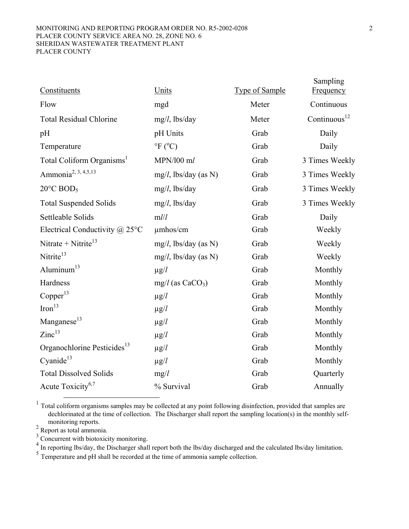#### MONITORING AND REPORTING PROGRAM ORDER NO. R5-2002-0208 2 PLACER COUNTY SERVICE AREA NO. 28, ZONE NO. 6 SHERIDAN WASTEWATER TREATMENT PLANT PLACER COUNTY

<span id="page-32-6"></span><span id="page-32-5"></span>

| Constituents                            | Units                           | <b>Type of Sample</b> | Sampling<br><b>Frequency</b> |
|-----------------------------------------|---------------------------------|-----------------------|------------------------------|
| Flow                                    | mgd                             | Meter                 | Continuous                   |
| <b>Total Residual Chlorine</b>          | $mg/l$ , lbs/day                | Meter                 | Continuous $12$              |
| pH                                      | pH Units                        | Grab                  | Daily                        |
| Temperature                             | $\mathrm{P}F$ ( $\mathrm{C}O$ ) | Grab                  | Daily                        |
| Total Coliform Organisms <sup>1</sup>   | MPN/100 ml                      | Grab                  | 3 Times Weekly               |
| Ammonia <sup>2, 3, 4,5,13</sup>         | $mg/l$ , lbs/day (as N)         | Grab                  | 3 Times Weekly               |
| $20^{\circ}$ C BOD <sub>5</sub>         | $mg/l$ , lbs/day                | Grab                  | 3 Times Weekly               |
| <b>Total Suspended Solids</b>           | $mg/l$ , lbs/day                | Grab                  | 3 Times Weekly               |
| Settleable Solids                       | m l/l                           | Grab                  | Daily                        |
| Electrical Conductivity $\omega$ 25°C   | $\mu$ mhos/cm                   | Grab                  | Weekly                       |
| Nitrate + Nitrite <sup>13</sup>         | $mg/l$ , lbs/day (as N)         | Grab                  | Weekly                       |
| Nitrite <sup>13</sup>                   | $mg/l$ , lbs/day (as N)         | Grab                  | Weekly                       |
| Aluminum $13$                           | $\mu$ g/ $l$                    | Grab                  | Monthly                      |
| Hardness                                | $mg/l$ (as CaCO <sub>3</sub> )  | Grab                  | Monthly                      |
| Copper <sup>13</sup>                    | $\mu$ g/l                       | Grab                  | Monthly                      |
| Iron <sup>13</sup>                      | $\mu$ g/ $l$                    | Grab                  | Monthly                      |
| Manganese <sup>13</sup>                 | $\mu$ g/ $l$                    | Grab                  | Monthly                      |
| $\rm Zinc^{13}$                         | $\mu$ g/l                       | Grab                  | Monthly                      |
| Organochlorine Pesticides <sup>13</sup> | $\mu$ g/ $l$                    | Grab                  | Monthly                      |
| Cyanide <sup>13</sup>                   | $\mu$ g/ $l$                    | Grab                  | Monthly                      |
| <b>Total Dissolved Solids</b>           | mg/l                            | Grab                  | Quarterly                    |
| Acute Toxicity <sup>6,7</sup>           | % Survival                      | Grab                  | Annually                     |
|                                         |                                 |                       |                              |

<span id="page-32-0"></span><sup>1</sup> Total coliform organisms samples may be collected at any point following disinfection, provided that samples are dechlorinated at the time of collection. The Discharger shall report the sampling location(s) in the monthly selfmonitoring reports.<br><sup>2</sup> Report as total ammonia.

<span id="page-32-1"></span>

<span id="page-32-2"></span> $3$  Concurrent with biotoxicity monitoring.

<span id="page-32-3"></span><sup>4</sup> In reporting lbs/day, the Discharger shall report both the lbs/day discharged and the calculated lbs/day limitation.<br><sup>5</sup> Temperature and pH shall be recorded at the time of ammonia sample collection.

<span id="page-32-4"></span>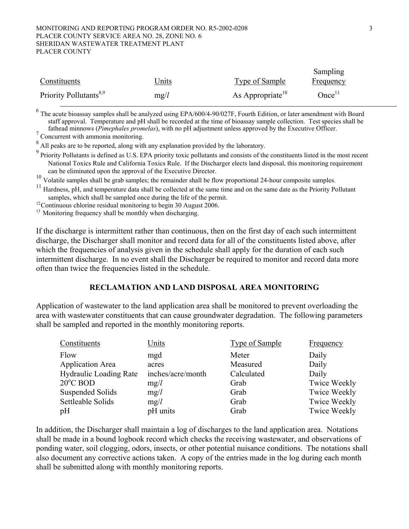#### MONITORING AND REPORTING PROGRAM ORDER NO. R5-2002-0208 3 PLACER COUNTY SERVICE AREA NO. 28, ZONE NO. 6 SHERIDAN WASTEWATER TREATMENT PLANT PLACER COUNTY

|                                    |              |                              | Sampling          |
|------------------------------------|--------------|------------------------------|-------------------|
| Constituents                       | <u>Jnits</u> | Type of Sample               | <u>Frequency</u>  |
| Priority Pollutants <sup>8,9</sup> | mg/l         | As Appropriate <sup>10</sup> | Once <sup>H</sup> |

<sup>6</sup> The acute bioassay samples shall be analyzed using EPA/600/4-90/027F, Fourth Edition, or later amendment with Board staff approval. Temperature and pH shall be recorded at the time of bioassay sample collection. Test species shall be fathead minnows (*Pimephales promelas*), with no pH adjustment unless approved by the Executive Officer. 7 Concurrent with ammonia monitoring.

<span id="page-33-0"></span><sup>8</sup> All peaks are to be reported, along with any explanation provided by the laboratory.

<span id="page-33-1"></span><sup>9</sup> Priority Pollutants is defined as U.S. EPA priority toxic pollutants and consists of the constituents listed in the most recent National Toxics Rule and California Toxics Rule. If the Discharger elects land disposal, this monitoring requirement can be eliminated upon the approval of the Executive Director.

<span id="page-33-2"></span><sup>10</sup> Volatile samples shall be grab samples; the remainder shall be flow proportional 24-hour composite samples.

<span id="page-33-3"></span><sup>11</sup> Hardness, pH, and temperature data shall be collected at the same time and on the same date as the Priority Pollutant samples, which shall be sampled once during the life of the permit.

 $12$  Continuous chlorine residual monitoring to begin 30 August 2006.

<sup>13</sup> Monitoring frequency shall be monthly when discharging.

If the discharge is intermittent rather than continuous, then on the first day of each such intermittent discharge, the Discharger shall monitor and record data for all of the constituents listed above, after which the frequencies of analysis given in the schedule shall apply for the duration of each such intermittent discharge. In no event shall the Discharger be required to monitor and record data more often than twice the frequencies listed in the schedule.

#### **RECLAMATION AND LAND DISPOSAL AREA MONITORING**

Application of wastewater to the land application area shall be monitored to prevent overloading the area with wastewater constituents that can cause groundwater degradation. The following parameters shall be sampled and reported in the monthly monitoring reports.

| Constituents                  | Units             | <b>Type of Sample</b> | <b>Frequency</b>    |
|-------------------------------|-------------------|-----------------------|---------------------|
| Flow                          | mgd               | Meter                 | Daily               |
| <b>Application Area</b>       | acres             | Measured              | Daily               |
| <b>Hydraulic Loading Rate</b> | inches/acre/month | Calculated            | Daily               |
| $20^{\circ}$ C BOD            | mg/l              | Grab                  | <b>Twice Weekly</b> |
| Suspended Solids              | mg/l              | Grab                  | Twice Weekly        |
| Settleable Solids             | mg/l              | Grab                  | <b>Twice Weekly</b> |
| pH                            | pH units          | Grab                  | <b>Twice Weekly</b> |

In addition, the Discharger shall maintain a log of discharges to the land application area. Notations shall be made in a bound logbook record which checks the receiving wastewater, and observations of ponding water, soil clogging, odors, insects, or other potential nuisance conditions. The notations shall also document any corrective actions taken. A copy of the entries made in the log during each month shall be submitted along with monthly monitoring reports.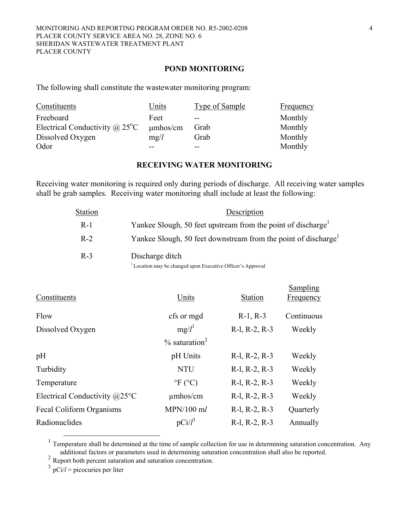#### **POND MONITORING**

The following shall constitute the wastewater monitoring program:

| Constituents                                       | Units         | Type of Sample | Frequency |
|----------------------------------------------------|---------------|----------------|-----------|
| Freeboard                                          | Feet          | $- -$          | Monthly   |
| Electrical Conductivity $\omega$ 25 <sup>o</sup> C | $\mu$ mhos/cm | Grab           | Monthly   |
| Dissolved Oxygen                                   | mg/l          | Grab           | Monthly   |
| Odor                                               |               |                | Monthly   |

### **RECEIVING WATER MONITORING**

Receiving water monitoring is required only during periods of discharge. All receiving water samples shall be grab samples. Receiving water monitoring shall include at least the following:

| Station | Description                                                                |
|---------|----------------------------------------------------------------------------|
| $R-1$   | Yankee Slough, 50 feet upstream from the point of discharge <sup>1</sup>   |
| $R-2$   | Yankee Slough, 50 feet downstream from the point of discharge <sup>1</sup> |
| $R-3$   | Discharge ditch                                                            |
|         | <sup>1</sup> Location may be changed upon Executive Officer's Approval     |

Sampling

| Units                        | <b>Station</b>        | $v$ unpun $\zeta$<br>Frequency |
|------------------------------|-----------------------|--------------------------------|
| cfs or mgd                   | $R-1, R-3$            | Continuous                     |
| $mg/l^1$                     | R-l, R-2, R-3         | Weekly                         |
| $\%$ saturation <sup>2</sup> |                       |                                |
| pH Units                     | $R-1$ , $R-2$ , $R-3$ | Weekly                         |
| <b>NTU</b>                   | $R-1$ , $R-2$ , $R-3$ | Weekly                         |
| $\mathrm{P}F(C)$             | R-1, R-2, R-3         | Weekly                         |
| $\mu$ mhos/cm                | R-1, R-2, R-3         | Weekly                         |
| $MPN/100$ ml                 | R-1, R-2, R-3         | Quarterly                      |
| $pCi/l^3$                    | $R-1$ , $R-2$ , $R-3$ | Annually                       |
|                              |                       |                                |

<span id="page-34-0"></span><sup>&</sup>lt;sup>1</sup> Temperature shall be determined at the time of sample collection for use in determining saturation concentration. Any additional factors or parameters used in determining saturation concentration shall also be reported. 2

<span id="page-34-1"></span><sup>2</sup> Report both percent saturation and saturation concentration.

<span id="page-34-2"></span> $3 \text{ pCi}/l = \text{picocuries per liter}$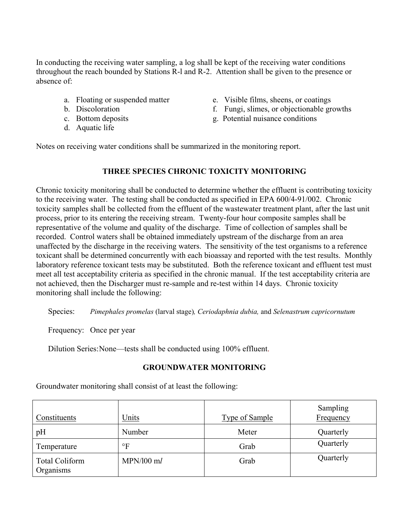In conducting the receiving water sampling, a log shall be kept of the receiving water conditions throughout the reach bounded by Stations R-l and R-2. Attention shall be given to the presence or absence of:

- 
- 
- 
- d. Aquatic life
- a. Floating or suspended matter e. Visible films, sheens, or coatings
- b. Discoloration f. Fungi, slimes, or objectionable growths
- c. Bottom deposits g. Potential nuisance conditions

Notes on receiving water conditions shall be summarized in the monitoring report.

#### **THREE SPECIES CHRONIC TOXICITY MONITORING**

Chronic toxicity monitoring shall be conducted to determine whether the effluent is contributing toxicity to the receiving water. The testing shall be conducted as specified in EPA 600/4-91/002. Chronic toxicity samples shall be collected from the effluent of the wastewater treatment plant, after the last unit process, prior to its entering the receiving stream. Twenty-four hour composite samples shall be representative of the volume and quality of the discharge. Time of collection of samples shall be recorded. Control waters shall be obtained immediately upstream of the discharge from an area unaffected by the discharge in the receiving waters. The sensitivity of the test organisms to a reference toxicant shall be determined concurrently with each bioassay and reported with the test results. Monthly laboratory reference toxicant tests may be substituted. Both the reference toxicant and effluent test must meet all test acceptability criteria as specified in the chronic manual. If the test acceptability criteria are not achieved, then the Discharger must re-sample and re-test within 14 days. Chronic toxicity monitoring shall include the following:

Species: *Pimephales promelas* (larval stage)*, Ceriodaphnia dubia,* and *Selenastrum capricornutum*

Frequency: Once per year

Dilution Series: None—tests shall be conducted using 100% effluent.

# **GROUNDWATER MONITORING**

Groundwater monitoring shall consist of at least the following:

| Constituents                       | Units        | <b>Type of Sample</b> | Sampling<br>Frequency |
|------------------------------------|--------------|-----------------------|-----------------------|
| pH                                 | Number       | Meter                 | Quarterly             |
| Temperature                        | $\circ$ F    | Grab                  | Quarterly             |
| <b>Total Coliform</b><br>Organisms | $MPN/100$ ml | Grab                  | Quarterly             |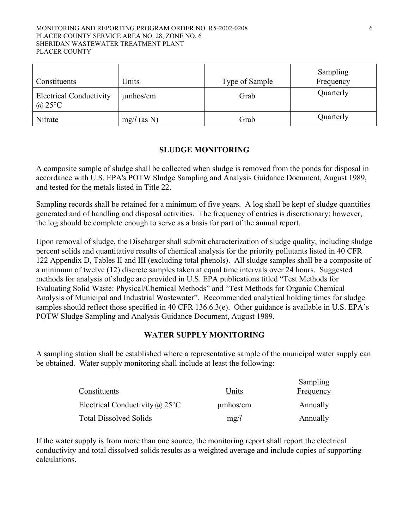#### MONITORING AND REPORTING PROGRAM ORDER NO. R5-2002-0208 6 PLACER COUNTY SERVICE AREA NO. 28, ZONE NO. 6 SHERIDAN WASTEWATER TREATMENT PLANT PLACER COUNTY

| Constituents                                       | Units         | Type of Sample | Sampling<br>Frequency |
|----------------------------------------------------|---------------|----------------|-----------------------|
| <b>Electrical Conductivity</b><br>@ $25^{\circ}$ C | $\mu$ mhos/cm | Grab           | Quarterly             |
| Nitrate                                            | $mg/l$ (as N) | Grab           | Quarterly             |

# **SLUDGE MONITORING**

A composite sample of sludge shall be collected when sludge is removed from the ponds for disposal in accordance with U.S. EPA's POTW Sludge Sampling and Analysis Guidance Document, August 1989, and tested for the metals listed in Title 22.

Sampling records shall be retained for a minimum of five years. A log shall be kept of sludge quantities generated and of handling and disposal activities. The frequency of entries is discretionary; however, the log should be complete enough to serve as a basis for part of the annual report.

Upon removal of sludge, the Discharger shall submit characterization of sludge quality, including sludge percent solids and quantitative results of chemical analysis for the priority pollutants listed in 40 CFR 122 Appendix D, Tables II and III (excluding total phenols). All sludge samples shall be a composite of a minimum of twelve (12) discrete samples taken at equal time intervals over 24 hours. Suggested methods for analysis of sludge are provided in U.S. EPA publications titled "Test Methods for Evaluating Solid Waste: Physical/Chemical Methods" and "Test Methods for Organic Chemical Analysis of Municipal and Industrial Wastewater". Recommended analytical holding times for sludge samples should reflect those specified in 40 CFR 136.6.3(e). Other guidance is available in U.S. EPA's POTW Sludge Sampling and Analysis Guidance Document, August 1989.

# **WATER SUPPLY MONITORING**

A sampling station shall be established where a representative sample of the municipal water supply can be obtained. Water supply monitoring shall include at least the following:

|                                       |               | Sampling  |
|---------------------------------------|---------------|-----------|
| Constituents                          | Units         | Frequency |
| Electrical Conductivity $\omega$ 25°C | $\mu$ mhos/cm | Annually  |
| <b>Total Dissolved Solids</b>         | mg/l          | Annually  |

If the water supply is from more than one source, the monitoring report shall report the electrical conductivity and total dissolved solids results as a weighted average and include copies of supporting calculations.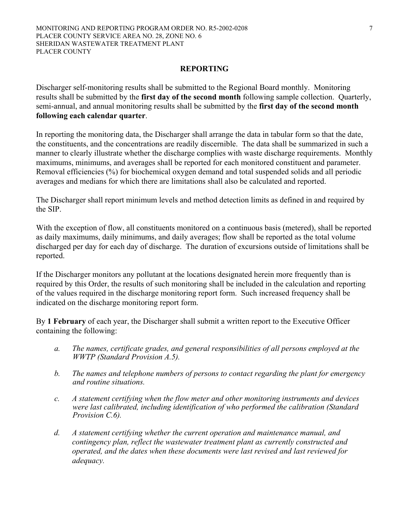#### **REPORTING**

Discharger self-monitoring results shall be submitted to the Regional Board monthly. Monitoring results shall be submitted by the **first day of the second month** following sample collection. Quarterly, semi-annual, and annual monitoring results shall be submitted by the **first day of the second month following each calendar quarter**.

In reporting the monitoring data, the Discharger shall arrange the data in tabular form so that the date, the constituents, and the concentrations are readily discernible. The data shall be summarized in such a manner to clearly illustrate whether the discharge complies with waste discharge requirements. Monthly maximums, minimums, and averages shall be reported for each monitored constituent and parameter. Removal efficiencies (%) for biochemical oxygen demand and total suspended solids and all periodic averages and medians for which there are limitations shall also be calculated and reported.

The Discharger shall report minimum levels and method detection limits as defined in and required by the SIP.

With the exception of flow, all constituents monitored on a continuous basis (metered), shall be reported as daily maximums, daily minimums, and daily averages; flow shall be reported as the total volume discharged per day for each day of discharge. The duration of excursions outside of limitations shall be reported.

If the Discharger monitors any pollutant at the locations designated herein more frequently than is required by this Order, the results of such monitoring shall be included in the calculation and reporting of the values required in the discharge monitoring report form. Such increased frequency shall be indicated on the discharge monitoring report form.

By **1 February** of each year, the Discharger shall submit a written report to the Executive Officer containing the following:

- *a. The names, certificate grades, and general responsibilities of all persons employed at the WWTP (Standard Provision A.5).*
- *b. The names and telephone numbers of persons to contact regarding the plant for emergency and routine situations.*
- *c. A statement certifying when the flow meter and other monitoring instruments and devices were last calibrated, including identification of who performed the calibration (Standard Provision C.6).*
- *d. A statement certifying whether the current operation and maintenance manual, and contingency plan, reflect the wastewater treatment plant as currently constructed and operated, and the dates when these documents were last revised and last reviewed for adequacy.*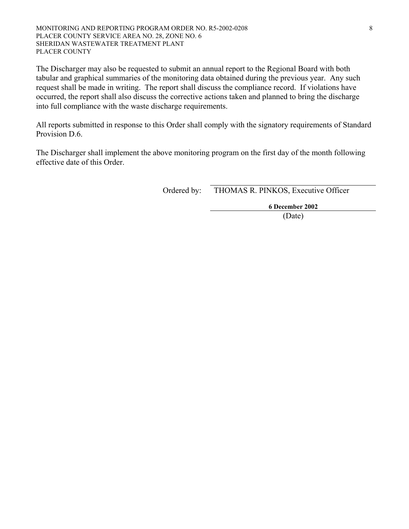The Discharger may also be requested to submit an annual report to the Regional Board with both tabular and graphical summaries of the monitoring data obtained during the previous year. Any such request shall be made in writing. The report shall discuss the compliance record. If violations have occurred, the report shall also discuss the corrective actions taken and planned to bring the discharge into full compliance with the waste discharge requirements.

All reports submitted in response to this Order shall comply with the signatory requirements of Standard Provision D.6.

The Discharger shall implement the above monitoring program on the first day of the month following effective date of this Order.

Ordered by: THOMAS R. PINKOS, Executive Officer

**6 December 2002** 

(Date)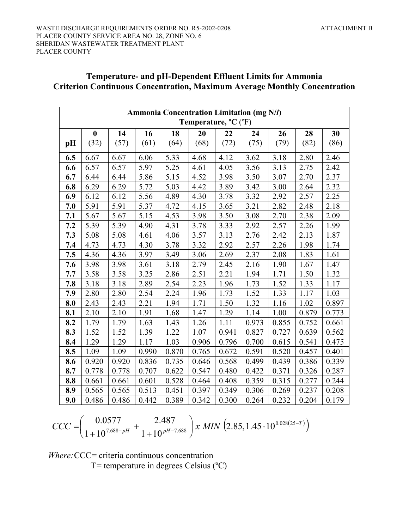# **Temperature- and pH-Dependent Effluent Limits for Ammonia Criterion Continuous Concentration, Maximum Average Monthly Concentration**

| <b>Ammonia Concentration Limitation (mg N/l)</b> |                  |       |       |       |       |       |       |       |       |       |
|--------------------------------------------------|------------------|-------|-------|-------|-------|-------|-------|-------|-------|-------|
| Temperature, $^{\circ}C$ ( $^{\circ}F$ )         |                  |       |       |       |       |       |       |       |       |       |
|                                                  | $\boldsymbol{0}$ | 14    | 16    | 18    | 20    | 22    | 24    | 26    | 28    | 30    |
| pH                                               | (32)             | (57)  | (61)  | (64)  | (68)  | (72)  | (75)  | (79)  | (82)  | (86)  |
| 6.5                                              | 6.67             | 6.67  | 6.06  | 5.33  | 4.68  | 4.12  | 3.62  | 3.18  | 2.80  | 2.46  |
| 6.6                                              | 6.57             | 6.57  | 5.97  | 5.25  | 4.61  | 4.05  | 3.56  | 3.13  | 2.75  | 2.42  |
| 6.7                                              | 6.44             | 6.44  | 5.86  | 5.15  | 4.52  | 3.98  | 3.50  | 3.07  | 2.70  | 2.37  |
| 6.8                                              | 6.29             | 6.29  | 5.72  | 5.03  | 4.42  | 3.89  | 3.42  | 3.00  | 2.64  | 2.32  |
| 6.9                                              | 6.12             | 6.12  | 5.56  | 4.89  | 4.30  | 3.78  | 3.32  | 2.92  | 2.57  | 2.25  |
| 7.0                                              | 5.91             | 5.91  | 5.37  | 4.72  | 4.15  | 3.65  | 3.21  | 2.82  | 2.48  | 2.18  |
| 7.1                                              | 5.67             | 5.67  | 5.15  | 4.53  | 3.98  | 3.50  | 3.08  | 2.70  | 2.38  | 2.09  |
| 7.2                                              | 5.39             | 5.39  | 4.90  | 4.31  | 3.78  | 3.33  | 2.92  | 2.57  | 2.26  | 1.99  |
| 7.3                                              | 5.08             | 5.08  | 4.61  | 4.06  | 3.57  | 3.13  | 2.76  | 2.42  | 2.13  | 1.87  |
| 7.4                                              | 4.73             | 4.73  | 4.30  | 3.78  | 3.32  | 2.92  | 2.57  | 2.26  | 1.98  | 1.74  |
| 7.5                                              | 4.36             | 4.36  | 3.97  | 3.49  | 3.06  | 2.69  | 2.37  | 2.08  | 1.83  | 1.61  |
| 7.6                                              | 3.98             | 3.98  | 3.61  | 3.18  | 2.79  | 2.45  | 2.16  | 1.90  | 1.67  | 1.47  |
| 7.7                                              | 3.58             | 3.58  | 3.25  | 2.86  | 2.51  | 2.21  | 1.94  | 1.71  | 1.50  | 1.32  |
| 7.8                                              | 3.18             | 3.18  | 2.89  | 2.54  | 2.23  | 1.96  | 1.73  | 1.52  | 1.33  | 1.17  |
| 7.9                                              | 2.80             | 2.80  | 2.54  | 2.24  | 1.96  | 1.73  | 1.52  | 1.33  | 1.17  | 1.03  |
| 8.0                                              | 2.43             | 2.43  | 2.21  | 1.94  | 1.71  | 1.50  | 1.32  | 1.16  | 1.02  | 0.897 |
| 8.1                                              | 2.10             | 2.10  | 1.91  | 1.68  | 1.47  | 1.29  | 1.14  | 1.00  | 0.879 | 0.773 |
| 8.2                                              | 1.79             | 1.79  | 1.63  | 1.43  | 1.26  | 1.11  | 0.973 | 0.855 | 0.752 | 0.661 |
| 8.3                                              | 1.52             | 1.52  | 1.39  | 1.22  | 1.07  | 0.941 | 0.827 | 0.727 | 0.639 | 0.562 |
| 8.4                                              | 1.29             | 1.29  | 1.17  | 1.03  | 0.906 | 0.796 | 0.700 | 0.615 | 0.541 | 0.475 |
| 8.5                                              | 1.09             | 1.09  | 0.990 | 0.870 | 0.765 | 0.672 | 0.591 | 0.520 | 0.457 | 0.401 |
| 8.6                                              | 0.920            | 0.920 | 0.836 | 0.735 | 0.646 | 0.568 | 0.499 | 0.439 | 0.386 | 0.339 |
| 8.7                                              | 0.778            | 0.778 | 0.707 | 0.622 | 0.547 | 0.480 | 0.422 | 0.371 | 0.326 | 0.287 |
| 8.8                                              | 0.661            | 0.661 | 0.601 | 0.528 | 0.464 | 0.408 | 0.359 | 0.315 | 0.277 | 0.244 |
| 8.9                                              | 0.565            | 0.565 | 0.513 | 0.451 | 0.397 | 0.349 | 0.306 | 0.269 | 0.237 | 0.208 |
| 9.0                                              | 0.486            | 0.486 | 0.442 | 0.389 | 0.342 | 0.300 | 0.264 | 0.232 | 0.204 | 0.179 |

$$
CCC = \left(\frac{0.0577}{1 + 10^{7.688 - pH}} + \frac{2.487}{1 + 10^{pt - 7.688}}\right) x \ MIN \left(2.85, 1.45 \cdot 10^{0.028(25 - T)}\right)
$$

*Where:* CCC= criteria continuous concentration

 $T =$  temperature in degrees Celsius ( $^{\circ}$ C)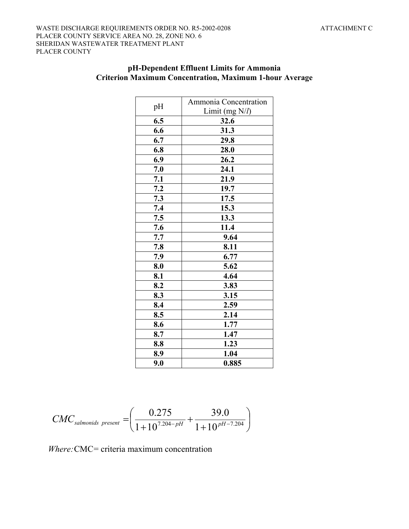# **pH-Dependent Effluent Limits for Ammonia Criterion Maximum Concentration, Maximum 1-hour Average**

| pH  | Ammonia Concentration |  |
|-----|-----------------------|--|
|     | Limit (mg N/l)        |  |
| 6.5 | 32.6                  |  |
| 6.6 | 31.3                  |  |
| 6.7 | 29.8                  |  |
| 6.8 | 28.0                  |  |
| 6.9 | 26.2                  |  |
| 7.0 | 24.1                  |  |
| 7.1 | 21.9                  |  |
| 7.2 | 19.7                  |  |
| 7.3 | 17.5                  |  |
| 7.4 | 15.3                  |  |
| 7.5 | 13.3                  |  |
| 7.6 | 11.4                  |  |
| 7.7 | 9.64                  |  |
| 7.8 | 8.11                  |  |
| 7.9 | 6.77                  |  |
| 8.0 | 5.62                  |  |
| 8.1 | 4.64                  |  |
| 8.2 | 3.83                  |  |
| 8.3 | 3.15                  |  |
| 8.4 | 2.59                  |  |
| 8.5 | 2.14                  |  |
| 8.6 | 1.77                  |  |
| 8.7 | 1.47                  |  |
| 8.8 | 1.23                  |  |
| 8.9 | 1.04                  |  |
| 9.0 | 0.885                 |  |

$$
CMC_{salmonids\ present} = \left(\frac{0.275}{1+10^{7.204-pH}} + \frac{39.0}{1+10^{pH-7.204}}\right)
$$

*Where:* CMC= criteria maximum concentration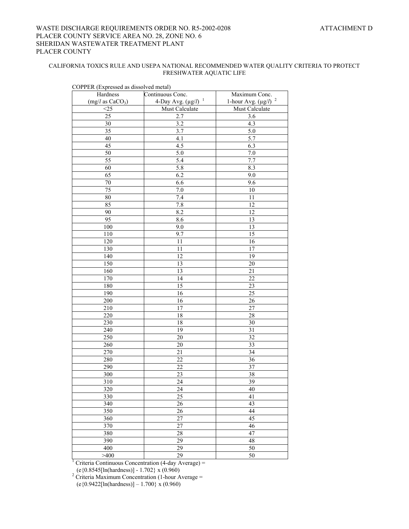#### WASTE DISCHARGE REQUIREMENTS ORDER NO. R5-2002-0208 ATTACHMENT D PLACER COUNTY SERVICE AREA NO. 28, ZONE NO. 6 SHERIDAN WASTEWATER TREATMENT PLANT PLACER COUNTY

#### CALIFORNIA TOXICS RULE AND USEPA NATIONAL RECOMMENDED WATER QUALITY CRITERIA TO PROTECT FRESHWATER AQUATIC LIFE

| COPPER (Expressed as dissolved metal)               |                                                     |                                               |
|-----------------------------------------------------|-----------------------------------------------------|-----------------------------------------------|
| Hardness                                            | Continuous Conc.                                    | Maximum Conc.<br>1-hour Avg. $(\mu g/l)^{-2}$ |
| (mg/l as CaCO <sub>3</sub> )<br>$\overline{\leq}25$ | 4-Day Avg. $(\mu g/l)^{-1}$                         | <b>Must Calculate</b>                         |
| 25                                                  | Must Calculate<br>2.7                               |                                               |
|                                                     |                                                     | 3.6                                           |
| 30                                                  | 3.2                                                 | 4.3                                           |
| 35                                                  | 3.7                                                 | 5.0                                           |
| 40                                                  | 4.1                                                 | $\overline{5.7}$                              |
| 45                                                  | 4.5                                                 | 6.3                                           |
| 50                                                  | 5.0                                                 | 7.0                                           |
| $\overline{55}$                                     | $\overline{5.4}$                                    | 7.7                                           |
| 60                                                  | 5.8                                                 | 8.3                                           |
| 65                                                  | 6.2                                                 | 9.0                                           |
| 70                                                  | 6.6                                                 | 9.6                                           |
| $\overline{75}$                                     | 7.0                                                 | $10\,$                                        |
| 80                                                  | 7.4                                                 | 11                                            |
| 85                                                  | $7.\overline{8}$                                    | 12                                            |
| 90                                                  | 8.2                                                 | 12                                            |
| 95                                                  | 8.6                                                 | 13                                            |
| 100                                                 | 9.0                                                 | 13                                            |
| 110                                                 | 9.7                                                 | 15                                            |
| 120                                                 | 11                                                  | 16                                            |
| 130                                                 | 11                                                  | 17                                            |
| 140                                                 | 12                                                  | 19                                            |
| 150                                                 | 13                                                  | 20                                            |
| 160                                                 | 13                                                  | 21                                            |
| 170                                                 | 14                                                  | 22                                            |
| 180                                                 | $\overline{15}$                                     | 23                                            |
| 190                                                 | $\overline{16}$                                     | $\overline{25}$                               |
| 200                                                 | 16                                                  | 26                                            |
| 210                                                 | 17                                                  | 27                                            |
| 220                                                 | 18                                                  | 28                                            |
| 230                                                 | 18                                                  | 30                                            |
| 240                                                 | 19                                                  | 31                                            |
| 250                                                 | 20                                                  | $\overline{32}$                               |
| $\frac{1}{260}$                                     | 20                                                  | $\overline{33}$                               |
| 270                                                 | 21                                                  | 34                                            |
| 280                                                 | 22                                                  | 36                                            |
| 290                                                 | 22                                                  | 37                                            |
| 300                                                 | 23                                                  | 38                                            |
| 310                                                 | 24                                                  | 39                                            |
| 320                                                 | 24                                                  | 40                                            |
| 330                                                 | $\overline{25}$                                     | 41                                            |
| 340                                                 | 26                                                  | 43                                            |
| 350                                                 | 26                                                  | 44                                            |
| 360                                                 | $\overline{27}$                                     | $\overline{45}$                               |
| 370                                                 | 27                                                  | 46                                            |
| 380                                                 | 28                                                  | 47                                            |
| 390                                                 | 29                                                  | 48                                            |
| 400                                                 | 29                                                  | 50                                            |
| >400                                                | 29                                                  | 50                                            |
|                                                     | Criteria Continuous Concentration (4-day Average) = |                                               |

COPPER (Expressed as dissolved metal)

 (e{0.8545[ln(hardness)] - 1.702} x (0.960) 2 Criteria Maximum Concentration (1-hour Average =  $(e{0.9422}[In(hardness)] - 1.700) x (0.960)$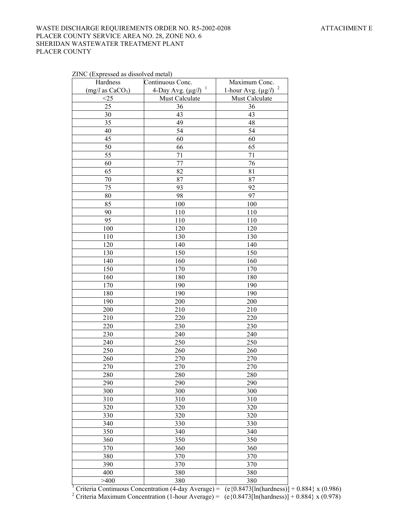#### WASTE DISCHARGE REQUIREMENTS ORDER NO. R5-2002-0208 ATTACHMENT E PLACER COUNTY SERVICE AREA NO. 28, ZONE NO. 6 SHERIDAN WASTEWATER TREATMENT PLANT PLACER COUNTY

#### ZINC (Expressed as dissolved metal)

| Hardness                     | Continuous Conc.            | Maximum Conc.             |
|------------------------------|-----------------------------|---------------------------|
| (mg/l as CaCO <sub>3</sub> ) | 4-Day Avg. $(\mu g/l)^{-1}$ | 1-hour Avg. $(\mu g/l)^2$ |
| <25                          | Must Calculate              | Must Calculate            |
| 25                           | 36                          | 36                        |
| 30                           | 43                          | 43                        |
| 35                           | 49                          | 48                        |
| 40                           | 54                          | $\overline{54}$           |
| 45                           | 60                          | 60                        |
| 50                           | 66                          | 65                        |
| 55                           | 71                          | 71                        |
| 60                           | 77                          | 76                        |
| 65                           | 82                          | 81                        |
| 70                           | 87                          | 87                        |
| 75                           | 93                          | 92                        |
| 80                           | 98                          | 97                        |
| 85                           | 100                         | 100                       |
| 90                           | 110                         | 110                       |
| 95                           | 110                         | 110                       |
| 100                          | 120                         | 120                       |
| 110                          | 130                         | 130                       |
| 120                          | 140                         | 140                       |
| 130                          | 150                         | 150                       |
| 140                          | 160                         | 160                       |
| 150                          | 170                         | 170                       |
| 160                          | 180                         | 180                       |
| 170                          | 190                         | 190                       |
| 180                          | 190                         | 190                       |
| 190                          | 200                         | 200                       |
| 200                          | 210                         | 210                       |
| 210                          | 220                         | 220                       |
| 220                          | 230                         | 230                       |
| 230                          | 240                         | 240                       |
| 240                          | 250                         | 250                       |
| 250                          | 260                         | 260                       |
| 260                          | 270                         | 270                       |
| 270                          | 270                         | 270                       |
| 280                          | 280                         | 280                       |
| 290                          | 290                         | 290                       |
| 300                          | 300                         | 300                       |
| 310                          | 310                         | 310                       |
| 320                          | 320                         | 320                       |
| 330                          | 320                         | 320                       |
| 340                          | 330                         | 330                       |
| 350                          | 340                         | 340                       |
| 360                          | 350                         | 350                       |
| 370                          | 360                         | 360                       |
| 380                          | 370                         | 370                       |
| 390                          | 370                         | 370                       |
| 400                          | 380                         | 380                       |
| >400                         | 380                         | 380                       |

 $\begin{array}{c|c|c} >400 & 380 & 380 \end{array}$ <br>  $\begin{array}{c|c} >400 & 380 & 380 \end{array}$ <br>  $\begin{array}{c} \text{Criteria Continuous Connection (4-day Average) = (e{0.8473[ln(hardness)]} + 0.884} x (0.986) \end{array}$ <br>  $\begin{array}{c} \text{Criteria Maximum Connection (1-hour Average) = (e{0.8473[ln(hardness)]} + 0.884} x (0.978) \end{array}$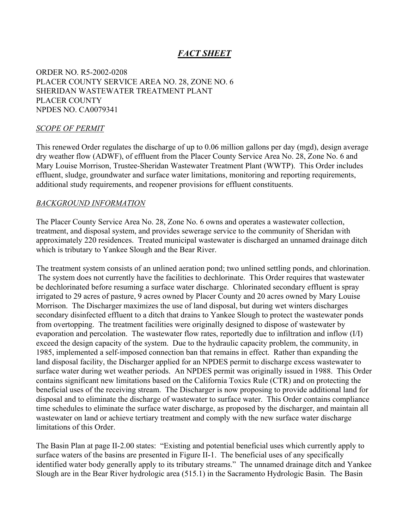# *FACT SHEET*

ORDER NO. R5-2002-0208 PLACER COUNTY SERVICE AREA NO. 28, ZONE NO. 6 SHERIDAN WASTEWATER TREATMENT PLANT PLACER COUNTY NPDES NO. CA0079341

#### *SCOPE OF PERMIT*

This renewed Order regulates the discharge of up to 0.06 million gallons per day (mgd), design average dry weather flow (ADWF), of effluent from the Placer County Service Area No. 28, Zone No. 6 and Mary Louise Morrison, Trustee-Sheridan Wastewater Treatment Plant (WWTP). This Order includes effluent, sludge, groundwater and surface water limitations, monitoring and reporting requirements, additional study requirements, and reopener provisions for effluent constituents.

#### *BACKGROUND INFORMATION*

The Placer County Service Area No. 28, Zone No. 6 owns and operates a wastewater collection, treatment, and disposal system, and provides sewerage service to the community of Sheridan with approximately 220 residences. Treated municipal wastewater is discharged an unnamed drainage ditch which is tributary to Yankee Slough and the Bear River.

The treatment system consists of an unlined aeration pond; two unlined settling ponds, and chlorination. The system does not currently have the facilities to dechlorinate. This Order requires that wastewater be dechlorinated before resuming a surface water discharge. Chlorinated secondary effluent is spray irrigated to 29 acres of pasture, 9 acres owned by Placer County and 20 acres owned by Mary Louise Morrison. The Discharger maximizes the use of land disposal, but during wet winters discharges secondary disinfected effluent to a ditch that drains to Yankee Slough to protect the wastewater ponds from overtopping. The treatment facilities were originally designed to dispose of wastewater by evaporation and percolation. The wastewater flow rates, reportedly due to infiltration and inflow (I/I) exceed the design capacity of the system. Due to the hydraulic capacity problem, the community, in 1985, implemented a self-imposed connection ban that remains in effect. Rather than expanding the land disposal facility, the Discharger applied for an NPDES permit to discharge excess wastewater to surface water during wet weather periods. An NPDES permit was originally issued in 1988. This Order contains significant new limitations based on the California Toxics Rule (CTR) and on protecting the beneficial uses of the receiving stream. The Discharger is now proposing to provide additional land for disposal and to eliminate the discharge of wastewater to surface water. This Order contains compliance time schedules to eliminate the surface water discharge, as proposed by the discharger, and maintain all wastewater on land or achieve tertiary treatment and comply with the new surface water discharge limitations of this Order.

The Basin Plan at page II-2.00 states: "Existing and potential beneficial uses which currently apply to surface waters of the basins are presented in Figure II-1. The beneficial uses of any specifically identified water body generally apply to its tributary streams." The unnamed drainage ditch and Yankee Slough are in the Bear River hydrologic area (515.1) in the Sacramento Hydrologic Basin. The Basin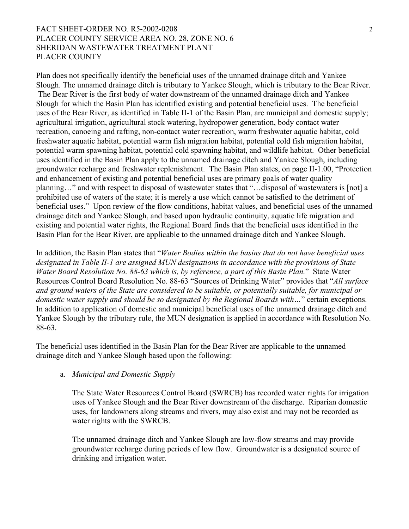# FACT SHEET-ORDER NO. R5-2002-0208 2 PLACER COUNTY SERVICE AREA NO. 28, ZONE NO. 6 SHERIDAN WASTEWATER TREATMENT PLANT PLACER COUNTY

Plan does not specifically identify the beneficial uses of the unnamed drainage ditch and Yankee Slough. The unnamed drainage ditch is tributary to Yankee Slough, which is tributary to the Bear River. The Bear River is the first body of water downstream of the unnamed drainage ditch and Yankee Slough for which the Basin Plan has identified existing and potential beneficial uses. The beneficial uses of the Bear River, as identified in Table II-1 of the Basin Plan, are municipal and domestic supply; agricultural irrigation, agricultural stock watering, hydropower generation, body contact water recreation, canoeing and rafting, non-contact water recreation, warm freshwater aquatic habitat, cold freshwater aquatic habitat, potential warm fish migration habitat, potential cold fish migration habitat, potential warm spawning habitat, potential cold spawning habitat, and wildlife habitat. Other beneficial uses identified in the Basin Plan apply to the unnamed drainage ditch and Yankee Slough, including groundwater recharge and freshwater replenishment. The Basin Plan states, on page II-1.00, "Protection and enhancement of existing and potential beneficial uses are primary goals of water quality planning…" and with respect to disposal of wastewater states that "…disposal of wastewaters is [not] a prohibited use of waters of the state; it is merely a use which cannot be satisfied to the detriment of beneficial uses." Upon review of the flow conditions, habitat values, and beneficial uses of the unnamed drainage ditch and Yankee Slough, and based upon hydraulic continuity, aquatic life migration and existing and potential water rights, the Regional Board finds that the beneficial uses identified in the Basin Plan for the Bear River, are applicable to the unnamed drainage ditch and Yankee Slough.

In addition, the Basin Plan states that "*Water Bodies within the basins that do not have beneficial uses designated in Table II-1 are assigned MUN designations in accordance with the provisions of State Water Board Resolution No. 88-63 which is, by reference, a part of this Basin Plan.*" State Water Resources Control Board Resolution No. 88-63 "Sources of Drinking Water" provides that "*All surface and ground waters of the State are considered to be suitable, or potentially suitable, for municipal or domestic water supply and should be so designated by the Regional Boards with…*" certain exceptions. In addition to application of domestic and municipal beneficial uses of the unnamed drainage ditch and Yankee Slough by the tributary rule, the MUN designation is applied in accordance with Resolution No. 88-63.

The beneficial uses identified in the Basin Plan for the Bear River are applicable to the unnamed drainage ditch and Yankee Slough based upon the following:

#### a. *Municipal and Domestic Supply*

The State Water Resources Control Board (SWRCB) has recorded water rights for irrigation uses of Yankee Slough and the Bear River downstream of the discharge. Riparian domestic uses, for landowners along streams and rivers, may also exist and may not be recorded as water rights with the SWRCB.

The unnamed drainage ditch and Yankee Slough are low-flow streams and may provide groundwater recharge during periods of low flow. Groundwater is a designated source of drinking and irrigation water.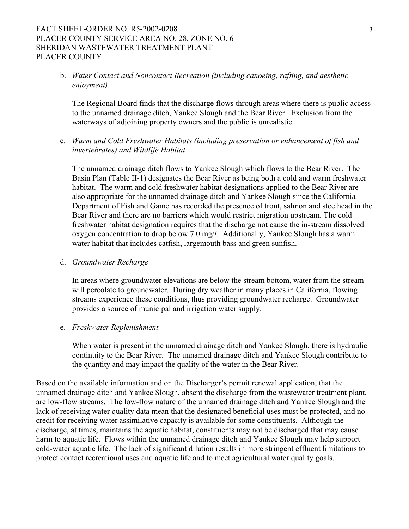### FACT SHEET-ORDER NO. R5-2002-0208 3 PLACER COUNTY SERVICE AREA NO. 28, ZONE NO. 6 SHERIDAN WASTEWATER TREATMENT PLANT PLACER COUNTY

b. *Water Contact and Noncontact Recreation (including canoeing, rafting, and aesthetic enjoyment)* 

The Regional Board finds that the discharge flows through areas where there is public access to the unnamed drainage ditch, Yankee Slough and the Bear River. Exclusion from the waterways of adjoining property owners and the public is unrealistic.

c. *Warm and Cold Freshwater Habitats (including preservation or enhancement of fish and invertebrates) and Wildlife Habitat* 

The unnamed drainage ditch flows to Yankee Slough which flows to the Bear River. The Basin Plan (Table II-1) designates the Bear River as being both a cold and warm freshwater habitat. The warm and cold freshwater habitat designations applied to the Bear River are also appropriate for the unnamed drainage ditch and Yankee Slough since the California Department of Fish and Game has recorded the presence of trout, salmon and steelhead in the Bear River and there are no barriers which would restrict migration upstream. The cold freshwater habitat designation requires that the discharge not cause the in-stream dissolved oxygen concentration to drop below 7.0 mg/*l*. Additionally, Yankee Slough has a warm water habitat that includes catfish, largemouth bass and green sunfish.

#### d. *Groundwater Recharge*

In areas where groundwater elevations are below the stream bottom, water from the stream will percolate to groundwater. During dry weather in many places in California, flowing streams experience these conditions, thus providing groundwater recharge. Groundwater provides a source of municipal and irrigation water supply.

#### e. *Freshwater Replenishment*

When water is present in the unnamed drainage ditch and Yankee Slough, there is hydraulic continuity to the Bear River. The unnamed drainage ditch and Yankee Slough contribute to the quantity and may impact the quality of the water in the Bear River.

Based on the available information and on the Discharger's permit renewal application, that the unnamed drainage ditch and Yankee Slough, absent the discharge from the wastewater treatment plant, are low-flow streams. The low-flow nature of the unnamed drainage ditch and Yankee Slough and the lack of receiving water quality data mean that the designated beneficial uses must be protected, and no credit for receiving water assimilative capacity is available for some constituents. Although the discharge, at times, maintains the aquatic habitat, constituents may not be discharged that may cause harm to aquatic life. Flows within the unnamed drainage ditch and Yankee Slough may help support cold-water aquatic life. The lack of significant dilution results in more stringent effluent limitations to protect contact recreational uses and aquatic life and to meet agricultural water quality goals.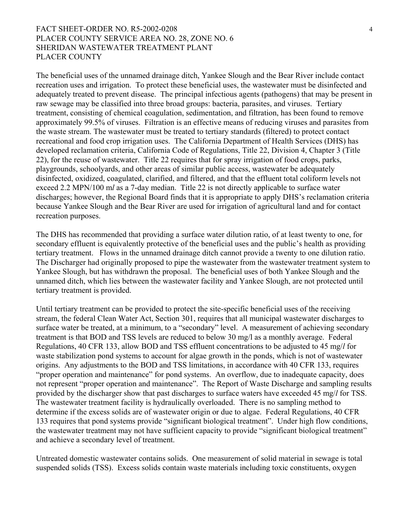# FACT SHEET-ORDER NO. R5-2002-0208 4 PLACER COUNTY SERVICE AREA NO. 28, ZONE NO. 6 SHERIDAN WASTEWATER TREATMENT PLANT PLACER COUNTY

The beneficial uses of the unnamed drainage ditch, Yankee Slough and the Bear River include contact recreation uses and irrigation. To protect these beneficial uses, the wastewater must be disinfected and adequately treated to prevent disease. The principal infectious agents (pathogens) that may be present in raw sewage may be classified into three broad groups: bacteria, parasites, and viruses. Tertiary treatment, consisting of chemical coagulation, sedimentation, and filtration, has been found to remove approximately 99.5% of viruses. Filtration is an effective means of reducing viruses and parasites from the waste stream. The wastewater must be treated to tertiary standards (filtered) to protect contact recreational and food crop irrigation uses. The California Department of Health Services (DHS) has developed reclamation criteria, California Code of Regulations, Title 22, Division 4, Chapter 3 (Title 22), for the reuse of wastewater. Title 22 requires that for spray irrigation of food crops, parks, playgrounds, schoolyards, and other areas of similar public access, wastewater be adequately disinfected, oxidized, coagulated, clarified, and filtered, and that the effluent total coliform levels not exceed 2.2 MPN/100 m*l* as a 7-day median. Title 22 is not directly applicable to surface water discharges; however, the Regional Board finds that it is appropriate to apply DHS's reclamation criteria because Yankee Slough and the Bear River are used for irrigation of agricultural land and for contact recreation purposes.

The DHS has recommended that providing a surface water dilution ratio, of at least twenty to one, for secondary effluent is equivalently protective of the beneficial uses and the public's health as providing tertiary treatment. Flows in the unnamed drainage ditch cannot provide a twenty to one dilution ratio. The Discharger had originally proposed to pipe the wastewater from the wastewater treatment system to Yankee Slough, but has withdrawn the proposal. The beneficial uses of both Yankee Slough and the unnamed ditch, which lies between the wastewater facility and Yankee Slough, are not protected until tertiary treatment is provided.

Until tertiary treatment can be provided to protect the site-specific beneficial uses of the receiving stream, the federal Clean Water Act, Section 301, requires that all municipal wastewater discharges to surface water be treated, at a minimum, to a "secondary" level. A measurement of achieving secondary treatment is that BOD and TSS levels are reduced to below 30 mg/l as a monthly average. Federal Regulations, 40 CFR 133, allow BOD and TSS effluent concentrations to be adjusted to 45 mg/*l* for waste stabilization pond systems to account for algae growth in the ponds, which is not of wastewater origins. Any adjustments to the BOD and TSS limitations, in accordance with 40 CFR 133, requires "proper operation and maintenance" for pond systems. An overflow, due to inadequate capacity, does not represent "proper operation and maintenance". The Report of Waste Discharge and sampling results provided by the discharger show that past discharges to surface waters have exceeded 45 mg/*l* for TSS. The wastewater treatment facility is hydraulically overloaded. There is no sampling method to determine if the excess solids are of wastewater origin or due to algae. Federal Regulations, 40 CFR 133 requires that pond systems provide "significant biological treatment". Under high flow conditions, the wastewater treatment may not have sufficient capacity to provide "significant biological treatment" and achieve a secondary level of treatment.

Untreated domestic wastewater contains solids. One measurement of solid material in sewage is total suspended solids (TSS). Excess solids contain waste materials including toxic constituents, oxygen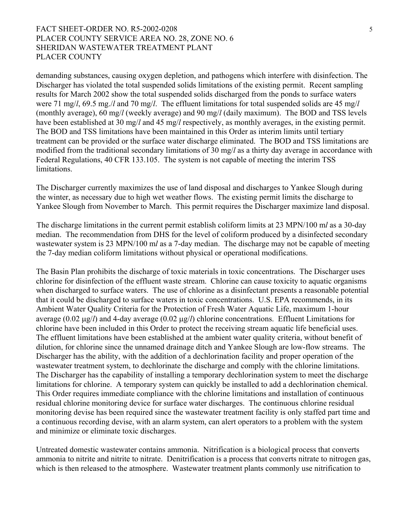## FACT SHEET-ORDER NO. R5-2002-0208 5 PLACER COUNTY SERVICE AREA NO. 28, ZONE NO. 6 SHERIDAN WASTEWATER TREATMENT PLANT PLACER COUNTY

demanding substances, causing oxygen depletion, and pathogens which interfere with disinfection. The Discharger has violated the total suspended solids limitations of the existing permit. Recent sampling results for March 2002 show the total suspended solids discharged from the ponds to surface waters were 71 mg/*l*, 69.5 mg./*l* and 70 mg/*l*. The effluent limitations for total suspended solids are 45 mg/*l* (monthly average), 60 mg/*l* (weekly average) and 90 mg/*l* (daily maximum). The BOD and TSS levels have been established at 30 mg/*l* and 45 mg/*l* respectively, as monthly averages, in the existing permit. The BOD and TSS limitations have been maintained in this Order as interim limits until tertiary treatment can be provided or the surface water discharge eliminated. The BOD and TSS limitations are modified from the traditional secondary limitations of 30 mg/*l* as a thirty day average in accordance with Federal Regulations, 40 CFR 133.105. The system is not capable of meeting the interim TSS limitations.

The Discharger currently maximizes the use of land disposal and discharges to Yankee Slough during the winter, as necessary due to high wet weather flows. The existing permit limits the discharge to Yankee Slough from November to March. This permit requires the Discharger maximize land disposal.

 The discharge limitations in the current permit establish coliform limits at 23 MPN/100 m*l* as a 30-day median. The recommendation from DHS for the level of coliform produced by a disinfected secondary wastewater system is 23 MPN/100 m*l* as a 7-day median. The discharge may not be capable of meeting the 7-day median coliform limitations without physical or operational modifications.

The Basin Plan prohibits the discharge of toxic materials in toxic concentrations. The Discharger uses chlorine for disinfection of the effluent waste stream. Chlorine can cause toxicity to aquatic organisms when discharged to surface waters. The use of chlorine as a disinfectant presents a reasonable potential that it could be discharged to surface waters in toxic concentrations. U.S. EPA recommends, in its Ambient Water Quality Criteria for the Protection of Fresh Water Aquatic Life, maximum 1-hour average (0.02 µg/*l*) and 4-day average (0.02 µg/*l*) chlorine concentrations. Effluent Limitations for chlorine have been included in this Order to protect the receiving stream aquatic life beneficial uses. The effluent limitations have been established at the ambient water quality criteria, without benefit of dilution, for chlorine since the unnamed drainage ditch and Yankee Slough are low-flow streams. The Discharger has the ability, with the addition of a dechlorination facility and proper operation of the wastewater treatment system, to dechlorinate the discharge and comply with the chlorine limitations. The Discharger has the capability of installing a temporary dechlorination system to meet the discharge limitations for chlorine. A temporary system can quickly be installed to add a dechlorination chemical. This Order requires immediate compliance with the chlorine limitations and installation of continuous residual chlorine monitoring device for surface water discharges. The continuous chlorine residual monitoring devise has been required since the wastewater treatment facility is only staffed part time and a continuous recording devise, with an alarm system, can alert operators to a problem with the system and minimize or eliminate toxic discharges.

Untreated domestic wastewater contains ammonia. Nitrification is a biological process that converts ammonia to nitrite and nitrite to nitrate. Denitrification is a process that converts nitrate to nitrogen gas, which is then released to the atmosphere. Wastewater treatment plants commonly use nitrification to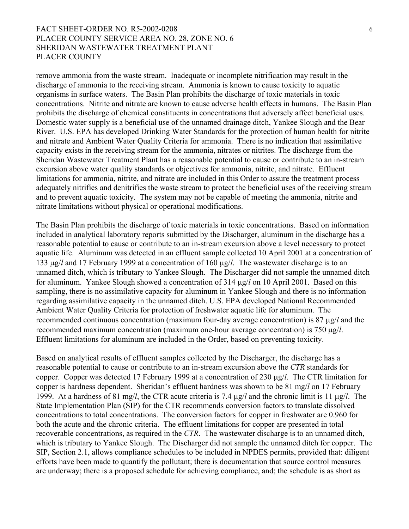# FACT SHEET-ORDER NO. R5-2002-0208 6 PLACER COUNTY SERVICE AREA NO. 28, ZONE NO. 6 SHERIDAN WASTEWATER TREATMENT PLANT PLACER COUNTY

remove ammonia from the waste stream. Inadequate or incomplete nitrification may result in the discharge of ammonia to the receiving stream. Ammonia is known to cause toxicity to aquatic organisms in surface waters. The Basin Plan prohibits the discharge of toxic materials in toxic concentrations. Nitrite and nitrate are known to cause adverse health effects in humans. The Basin Plan prohibits the discharge of chemical constituents in concentrations that adversely affect beneficial uses. Domestic water supply is a beneficial use of the unnamed drainage ditch, Yankee Slough and the Bear River. U.S. EPA has developed Drinking Water Standards for the protection of human health for nitrite and nitrate and Ambient Water Quality Criteria for ammonia. There is no indication that assimilative capacity exists in the receiving stream for the ammonia, nitrates or nitrites. The discharge from the Sheridan Wastewater Treatment Plant has a reasonable potential to cause or contribute to an in-stream excursion above water quality standards or objectives for ammonia, nitrite, and nitrate. Effluent limitations for ammonia, nitrite, and nitrate are included in this Order to assure the treatment process adequately nitrifies and denitrifies the waste stream to protect the beneficial uses of the receiving stream and to prevent aquatic toxicity. The system may not be capable of meeting the ammonia, nitrite and nitrate limitations without physical or operational modifications.

The Basin Plan prohibits the discharge of toxic materials in toxic concentrations. Based on information included in analytical laboratory reports submitted by the Discharger, aluminum in the discharge has a reasonable potential to cause or contribute to an in-stream excursion above a level necessary to protect aquatic life. Aluminum was detected in an effluent sample collected 10 April 2001 at a concentration of 133 µg/*l* and 17 February 1999 at a concentration of 160 µg/*l*. The wastewater discharge is to an unnamed ditch, which is tributary to Yankee Slough. The Discharger did not sample the unnamed ditch for aluminum. Yankee Slough showed a concentration of 314 µg/*l* on 10 April 2001. Based on this sampling, there is no assimilative capacity for aluminum in Yankee Slough and there is no information regarding assimilative capacity in the unnamed ditch. U.S. EPA developed National Recommended Ambient Water Quality Criteria for protection of freshwater aquatic life for aluminum. The recommended continuous concentration (maximum four-day average concentration) is 87 µg/*l* and the recommended maximum concentration (maximum one-hour average concentration) is 750 µg/*l*. Effluent limitations for aluminum are included in the Order, based on preventing toxicity.

Based on analytical results of effluent samples collected by the Discharger, the discharge has a reasonable potential to cause or contribute to an in-stream excursion above the *CTR* standards for copper. Copper was detected 17 February 1999 at a concentration of 230 µg/*l*. The CTR limitation for copper is hardness dependent. Sheridan's effluent hardness was shown to be 81 mg/*l* on 17 February 1999. At a hardness of 81 mg/*l*, the CTR acute criteria is 7.4 µg/*l* and the chronic limit is 11 µg/*l*. The State Implementation Plan (SIP) for the CTR recommends conversion factors to translate dissolved concentrations to total concentrations. The conversion factors for copper in freshwater are 0.960 for both the acute and the chronic criteria. The effluent limitations for copper are presented in total recoverable concentrations, as required in the *CTR*. The wastewater discharge is to an unnamed ditch, which is tributary to Yankee Slough. The Discharger did not sample the unnamed ditch for copper. The SIP, Section 2.1, allows compliance schedules to be included in NPDES permits, provided that: diligent efforts have been made to quantify the pollutant; there is documentation that source control measures are underway; there is a proposed schedule for achieving compliance, and; the schedule is as short as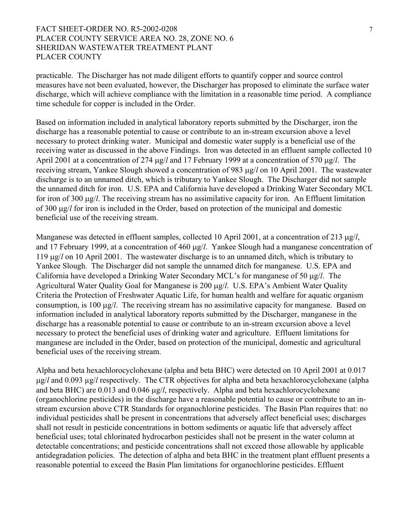### FACT SHEET-ORDER NO. R5-2002-0208 7 PLACER COUNTY SERVICE AREA NO. 28, ZONE NO. 6 SHERIDAN WASTEWATER TREATMENT PLANT PLACER COUNTY

practicable. The Discharger has not made diligent efforts to quantify copper and source control measures have not been evaluated, however, the Discharger has proposed to eliminate the surface water discharge, which will achieve compliance with the limitation in a reasonable time period. A compliance time schedule for copper is included in the Order.

Based on information included in analytical laboratory reports submitted by the Discharger, iron the discharge has a reasonable potential to cause or contribute to an in-stream excursion above a level necessary to protect drinking water. Municipal and domestic water supply is a beneficial use of the receiving water as discussed in the above Findings. Iron was detected in an effluent sample collected 10 April 2001 at a concentration of 274 µg/*l* and 17 February 1999 at a concentration of 570 µg/*l*. The receiving stream, Yankee Slough showed a concentration of 983 µg/*l* on 10 April 2001. The wastewater discharge is to an unnamed ditch, which is tributary to Yankee Slough. The Discharger did not sample the unnamed ditch for iron. U.S. EPA and California have developed a Drinking Water Secondary MCL for iron of 300 µg/*l*. The receiving stream has no assimilative capacity for iron. An Effluent limitation of 300 µg/*l* for iron is included in the Order, based on protection of the municipal and domestic beneficial use of the receiving stream.

Manganese was detected in effluent samples, collected 10 April 2001, at a concentration of 213 µg/*l*, and 17 February 1999, at a concentration of 460 µg/*l*. Yankee Slough had a manganese concentration of 119 µg/*l* on 10 April 2001. The wastewater discharge is to an unnamed ditch, which is tributary to Yankee Slough. The Discharger did not sample the unnamed ditch for manganese. U.S. EPA and California have developed a Drinking Water Secondary MCL's for manganese of 50 µg/*l*. The Agricultural Water Quality Goal for Manganese is 200 µg/*l*. U.S. EPA's Ambient Water Quality Criteria the Protection of Freshwater Aquatic Life, for human health and welfare for aquatic organism consumption, is 100 µg/*l*. The receiving stream has no assimilative capacity for manganese. Based on information included in analytical laboratory reports submitted by the Discharger, manganese in the discharge has a reasonable potential to cause or contribute to an in-stream excursion above a level necessary to protect the beneficial uses of drinking water and agriculture. Effluent limitations for manganese are included in the Order, based on protection of the municipal, domestic and agricultural beneficial uses of the receiving stream.

Alpha and beta hexachlorocyclohexane (alpha and beta BHC) were detected on 10 April 2001 at 0.017 µg/*l* and 0.093 µg/*l* respectively. The CTR objectives for alpha and beta hexachlorocyclohexane (alpha and beta BHC) are 0.013 and 0.046 µg/*l*, respectively. Alpha and beta hexachlorocyclohexane (organochlorine pesticides) in the discharge have a reasonable potential to cause or contribute to an instream excursion above CTR Standards for organochlorine pesticides. The Basin Plan requires that: no individual pesticides shall be present in concentrations that adversely affect beneficial uses; discharges shall not result in pesticide concentrations in bottom sediments or aquatic life that adversely affect beneficial uses; total chlorinated hydrocarbon pesticides shall not be present in the water column at detectable concentrations; and pesticide concentrations shall not exceed those allowable by applicable antidegradation policies. The detection of alpha and beta BHC in the treatment plant effluent presents a reasonable potential to exceed the Basin Plan limitations for organochlorine pesticides. Effluent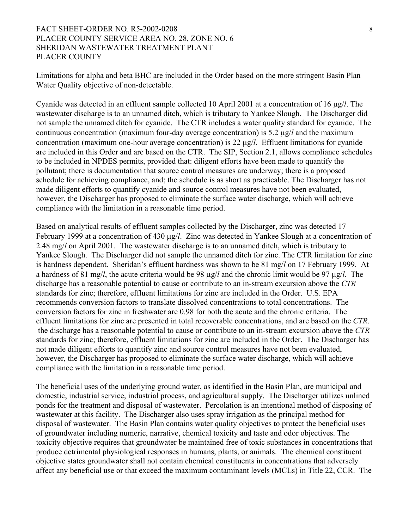### FACT SHEET-ORDER NO. R5-2002-0208 8 PLACER COUNTY SERVICE AREA NO. 28, ZONE NO. 6 SHERIDAN WASTEWATER TREATMENT PLANT PLACER COUNTY

Limitations for alpha and beta BHC are included in the Order based on the more stringent Basin Plan Water Quality objective of non-detectable.

Cyanide was detected in an effluent sample collected 10 April 2001 at a concentration of 16 µg/*l*. The wastewater discharge is to an unnamed ditch, which is tributary to Yankee Slough. The Discharger did not sample the unnamed ditch for cyanide. The CTR includes a water quality standard for cyanide. The continuous concentration (maximum four-day average concentration) is 5.2 µg/*l* and the maximum concentration (maximum one-hour average concentration) is 22 µg/*l*. Effluent limitations for cyanide are included in this Order and are based on the CTR. The SIP, Section 2.1, allows compliance schedules to be included in NPDES permits, provided that: diligent efforts have been made to quantify the pollutant; there is documentation that source control measures are underway; there is a proposed schedule for achieving compliance, and; the schedule is as short as practicable. The Discharger has not made diligent efforts to quantify cyanide and source control measures have not been evaluated, however, the Discharger has proposed to eliminate the surface water discharge, which will achieve compliance with the limitation in a reasonable time period.

Based on analytical results of effluent samples collected by the Discharger, zinc was detected 17 February 1999 at a concentration of 430 µg/*l*. Zinc was detected in Yankee Slough at a concentration of 2.48 mg/*l* on April 2001. The wastewater discharge is to an unnamed ditch, which is tributary to Yankee Slough. The Discharger did not sample the unnamed ditch for zinc. The CTR limitation for zinc is hardness dependent. Sheridan's effluent hardness was shown to be 81 mg/*l* on 17 February 1999. At a hardness of 81 mg/*l*, the acute criteria would be 98 µg/*l* and the chronic limit would be 97 µg/*l*. The discharge has a reasonable potential to cause or contribute to an in-stream excursion above the *CTR* standards for zinc; therefore, effluent limitations for zinc are included in the Order. U.S. EPA recommends conversion factors to translate dissolved concentrations to total concentrations. The conversion factors for zinc in freshwater are 0.98 for both the acute and the chronic criteria. The effluent limitations for zinc are presented in total recoverable concentrations, and are based on the *CTR*. the discharge has a reasonable potential to cause or contribute to an in-stream excursion above the *CTR* standards for zinc; therefore, effluent limitations for zinc are included in the Order. The Discharger has not made diligent efforts to quantify zinc and source control measures have not been evaluated, however, the Discharger has proposed to eliminate the surface water discharge, which will achieve compliance with the limitation in a reasonable time period.

The beneficial uses of the underlying ground water, as identified in the Basin Plan, are municipal and domestic, industrial service, industrial process, and agricultural supply. The Discharger utilizes unlined ponds for the treatment and disposal of wastewater. Percolation is an intentional method of disposing of wastewater at this facility. The Discharger also uses spray irrigation as the principal method for disposal of wastewater. The Basin Plan contains water quality objectives to protect the beneficial uses of groundwater including numeric, narrative, chemical toxicity and taste and odor objectives. The toxicity objective requires that groundwater be maintained free of toxic substances in concentrations that produce detrimental physiological responses in humans, plants, or animals. The chemical constituent objective states groundwater shall not contain chemical constituents in concentrations that adversely affect any beneficial use or that exceed the maximum contaminant levels (MCLs) in Title 22, CCR. The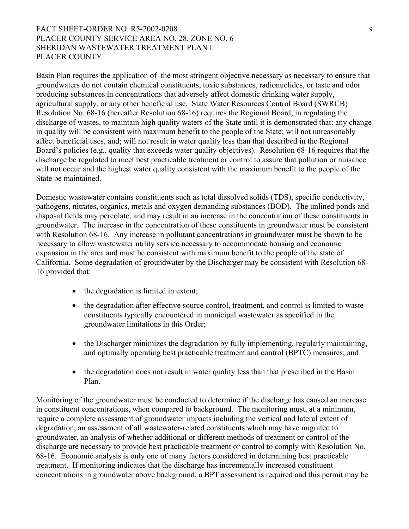# FACT SHEET-ORDER NO. R5-2002-0208 9 PLACER COUNTY SERVICE AREA NO. 28, ZONE NO. 6 SHERIDAN WASTEWATER TREATMENT PLANT PLACER COUNTY

Basin Plan requires the application of the most stringent objective necessary as necessary to ensure that groundwaters do not contain chemical constituents, toxic substances, radionuclides, or taste and odor producing substances in concentrations that adversely affect domestic drinking water supply, agricultural supply, or any other beneficial use. State Water Resources Control Board (SWRCB) Resolution No. 68-16 (hereafter Resolution 68-16) requires the Regional Board, in regulating the discharge of wastes, to maintain high quality waters of the State until it is demonstrated that: any change in quality will be consistent with maximum benefit to the people of the State; will not unreasonably affect beneficial uses, and; will not result in water quality less than that described in the Regional Board's policies (e.g., quality that exceeds water quality objectives). Resolution 68-16 requires that the discharge be regulated to meet best practicable treatment or control to assure that pollution or nuisance will not occur and the highest water quality consistent with the maximum benefit to the people of the State be maintained.

Domestic wastewater contains constituents such as total dissolved solids (TDS), specific conductivity, pathogens, nitrates, organics, metals and oxygen demanding substances (BOD). The unlined ponds and disposal fields may percolate, and may result in an increase in the concentration of these constituents in groundwater. The increase in the concentration of these constituents in groundwater must be consistent with Resolution 68-16. Any increase in pollutant concentrations in groundwater must be shown to be necessary to allow wastewater utility service necessary to accommodate housing and economic expansion in the area and must be consistent with maximum benefit to the people of the state of California. Some degradation of groundwater by the Discharger may be consistent with Resolution 68- 16 provided that:

- the degradation is limited in extent;
- the degradation after effective source control, treatment, and control is limited to waste constituents typically encountered in municipal wastewater as specified in the groundwater limitations in this Order;
- the Discharger minimizes the degradation by fully implementing, regularly maintaining, and optimally operating best practicable treatment and control (BPTC) measures; and
- the degradation does not result in water quality less than that prescribed in the Basin Plan.

Monitoring of the groundwater must be conducted to determine if the discharge has caused an increase in constituent concentrations, when compared to background. The monitoring must, at a minimum, require a complete assessment of groundwater impacts including the vertical and lateral extent of degradation, an assessment of all wastewater-related constituents which may have migrated to groundwater, an analysis of whether additional or different methods of treatment or control of the discharge are necessary to provide best practicable treatment or control to comply with Resolution No. 68-16. Economic analysis is only one of many factors considered in determining best practicable treatment. If monitoring indicates that the discharge has incrementally increased constituent concentrations in groundwater above background, a BPT assessment is required and this permit may be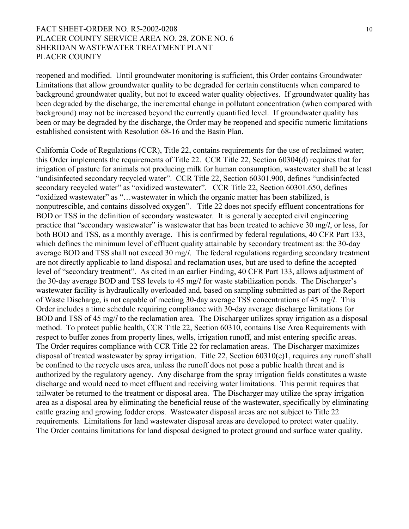### FACT SHEET-ORDER NO. R5-2002-0208 10 PLACER COUNTY SERVICE AREA NO. 28, ZONE NO. 6 SHERIDAN WASTEWATER TREATMENT PLANT PLACER COUNTY

reopened and modified. Until groundwater monitoring is sufficient, this Order contains Groundwater Limitations that allow groundwater quality to be degraded for certain constituents when compared to background groundwater quality, but not to exceed water quality objectives. If groundwater quality has been degraded by the discharge, the incremental change in pollutant concentration (when compared with background) may not be increased beyond the currently quantified level. If groundwater quality has been or may be degraded by the discharge, the Order may be reopened and specific numeric limitations established consistent with Resolution 68-16 and the Basin Plan.

California Code of Regulations (CCR), Title 22, contains requirements for the use of reclaimed water; this Order implements the requirements of Title 22. CCR Title 22, Section 60304(d) requires that for irrigation of pasture for animals not producing milk for human consumption, wastewater shall be at least "undisinfected secondary recycled water". CCR Title 22, Section 60301.900, defines "undisinfected secondary recycled water" as "oxidized wastewater". CCR Title 22, Section 60301.650, defines "oxidized wastewater" as "…wastewater in which the organic matter has been stabilized, is nonputrescible, and contains dissolved oxygen". Title 22 does not specify effluent concentrations for BOD or TSS in the definition of secondary wastewater. It is generally accepted civil engineering practice that "secondary wastewater" is wastewater that has been treated to achieve 30 mg/*l*, or less, for both BOD and TSS, as a monthly average. This is confirmed by federal regulations, 40 CFR Part 133, which defines the minimum level of effluent quality attainable by secondary treatment as: the 30-day average BOD and TSS shall not exceed 30 mg/*l*. The federal regulations regarding secondary treatment are not directly applicable to land disposal and reclamation uses, but are used to define the accepted level of "secondary treatment". As cited in an earlier Finding, 40 CFR Part 133, allows adjustment of the 30-day average BOD and TSS levels to 45 mg/*l* for waste stabilization ponds. The Discharger's wastewater facility is hydraulically overloaded and, based on sampling submitted as part of the Report of Waste Discharge, is not capable of meeting 30-day average TSS concentrations of 45 mg/*l*. This Order includes a time schedule requiring compliance with 30-day average discharge limitations for BOD and TSS of 45 mg/*l* to the reclamation area. The Discharger utilizes spray irrigation as a disposal method. To protect public health, CCR Title 22, Section 60310, contains Use Area Requirements with respect to buffer zones from property lines, wells, irrigation runoff, and mist entering specific areas. The Order requires compliance with CCR Title 22 for reclamation areas. The Discharger maximizes disposal of treated wastewater by spray irrigation. Title 22, Section 60310(e)1, requires any runoff shall be confined to the recycle uses area, unless the runoff does not pose a public health threat and is authorized by the regulatory agency. Any discharge from the spray irrigation fields constitutes a waste discharge and would need to meet effluent and receiving water limitations. This permit requires that tailwater be returned to the treatment or disposal area. The Discharger may utilize the spray irrigation area as a disposal area by eliminating the beneficial reuse of the wastewater, specifically by eliminating cattle grazing and growing fodder crops. Wastewater disposal areas are not subject to Title 22 requirements. Limitations for land wastewater disposal areas are developed to protect water quality. The Order contains limitations for land disposal designed to protect ground and surface water quality.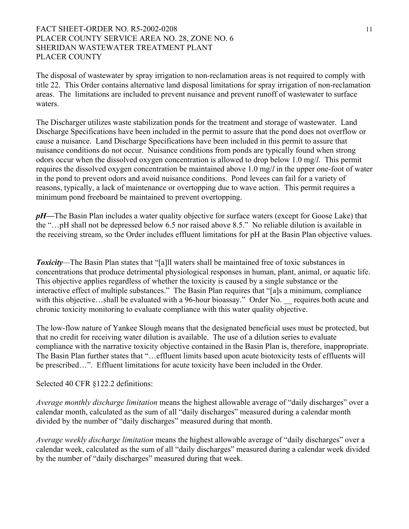## FACT SHEET-ORDER NO. R5-2002-0208 11 PLACER COUNTY SERVICE AREA NO. 28, ZONE NO. 6 SHERIDAN WASTEWATER TREATMENT PLANT PLACER COUNTY

The disposal of wastewater by spray irrigation to non-reclamation areas is not required to comply with title 22. This Order contains alternative land disposal limitations for spray irrigation of non-reclamation areas. The limitations are included to prevent nuisance and prevent runoff of wastewater to surface waters.

The Discharger utilizes waste stabilization ponds for the treatment and storage of wastewater. Land Discharge Specifications have been included in the permit to assure that the pond does not overflow or cause a nuisance. Land Discharge Specifications have been included in this permit to assure that nuisance conditions do not occur. Nuisance conditions from ponds are typically found when strong odors occur when the dissolved oxygen concentration is allowed to drop below 1.0 mg/*l*. This permit requires the dissolved oxygen concentration be maintained above 1.0 mg/*l* in the upper one-foot of water in the pond to prevent odors and avoid nuisance conditions. Pond levees can fail for a variety of reasons, typically, a lack of maintenance or overtopping due to wave action. This permit requires a minimum pond freeboard be maintained to prevent overtopping.

*pH—*The Basin Plan includes a water quality objective for surface waters (except for Goose Lake) that the "…pH shall not be depressed below 6.5 nor raised above 8.5." No reliable dilution is available in the receiving stream, so the Order includes effluent limitations for pH at the Basin Plan objective values.

*Toxicity—*The Basin Plan states that "[a]ll waters shall be maintained free of toxic substances in concentrations that produce detrimental physiological responses in human, plant, animal, or aquatic life. This objective applies regardless of whether the toxicity is caused by a single substance or the interactive effect of multiple substances." The Basin Plan requires that "[a]s a minimum, compliance with this objective…shall be evaluated with a 96-hour bioassay." Order No. \_\_ requires both acute and chronic toxicity monitoring to evaluate compliance with this water quality objective.

The low-flow nature of Yankee Slough means that the designated beneficial uses must be protected, but that no credit for receiving water dilution is available. The use of a dilution series to evaluate compliance with the narrative toxicity objective contained in the Basin Plan is, therefore, inappropriate. The Basin Plan further states that "…effluent limits based upon acute biotoxicity tests of effluents will be prescribed…". Effluent limitations for acute toxicity have been included in the Order.

Selected 40 CFR §122.2 definitions:

*Average monthly discharge limitation* means the highest allowable average of "daily discharges" over a calendar month, calculated as the sum of all "daily discharges" measured during a calendar month divided by the number of "daily discharges" measured during that month.

*Average weekly discharge limitation* means the highest allowable average of "daily discharges" over a calendar week, calculated as the sum of all "daily discharges" measured during a calendar week divided by the number of "daily discharges" measured during that week.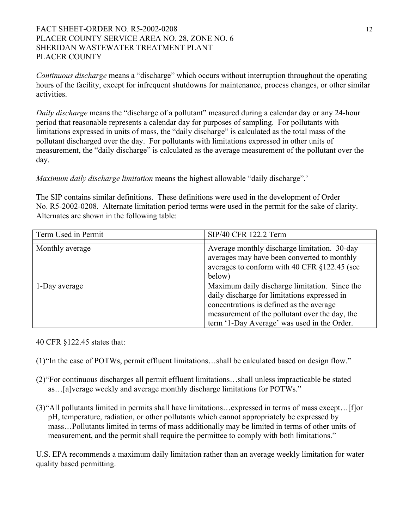# FACT SHEET-ORDER NO. R5-2002-0208 12 PLACER COUNTY SERVICE AREA NO. 28, ZONE NO. 6 SHERIDAN WASTEWATER TREATMENT PLANT PLACER COUNTY

*Continuous discharge* means a "discharge" which occurs without interruption throughout the operating hours of the facility, except for infrequent shutdowns for maintenance, process changes, or other similar activities.

*Daily discharge* means the "discharge of a pollutant" measured during a calendar day or any 24-hour period that reasonable represents a calendar day for purposes of sampling. For pollutants with limitations expressed in units of mass, the "daily discharge" is calculated as the total mass of the pollutant discharged over the day. For pollutants with limitations expressed in other units of measurement, the "daily discharge" is calculated as the average measurement of the pollutant over the day.

*Maximum daily discharge limitation* means the highest allowable "daily discharge".'

The SIP contains similar definitions. These definitions were used in the development of Order No. R5-2002-0208. Alternate limitation period terms were used in the permit for the sake of clarity. Alternates are shown in the following table:

| Term Used in Permit | SIP/40 CFR 122.2 Term                          |
|---------------------|------------------------------------------------|
|                     |                                                |
| Monthly average     | Average monthly discharge limitation. 30-day   |
|                     |                                                |
|                     | averages may have been converted to monthly    |
|                     | averages to conform with 40 CFR §122.45 (see   |
|                     | below)                                         |
| 1-Day average       | Maximum daily discharge limitation. Since the  |
|                     | daily discharge for limitations expressed in   |
|                     | concentrations is defined as the average       |
|                     | measurement of the pollutant over the day, the |
|                     | term '1-Day Average' was used in the Order.    |

40 CFR §122.45 states that:

- (1) "In the case of POTWs, permit effluent limitations…shall be calculated based on design flow."
- (2) "For continuous discharges all permit effluent limitations…shall unless impracticable be stated as…[a]verage weekly and average monthly discharge limitations for POTWs."
- (3) "All pollutants limited in permits shall have limitations…expressed in terms of mass except…[f]or pH, temperature, radiation, or other pollutants which cannot appropriately be expressed by mass…Pollutants limited in terms of mass additionally may be limited in terms of other units of measurement, and the permit shall require the permittee to comply with both limitations."

U.S. EPA recommends a maximum daily limitation rather than an average weekly limitation for water quality based permitting.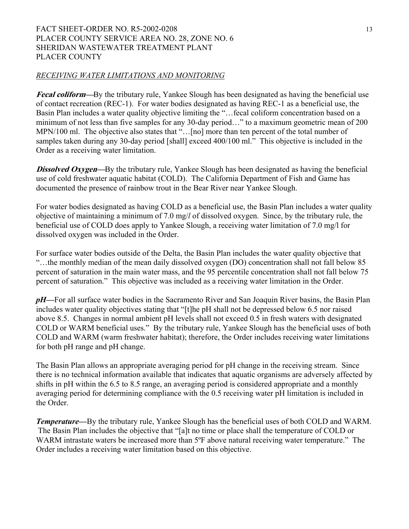# FACT SHEET-ORDER NO. R5-2002-0208 13 PLACER COUNTY SERVICE AREA NO. 28, ZONE NO. 6 SHERIDAN WASTEWATER TREATMENT PLANT PLACER COUNTY

#### *RECEIVING WATER LIMITATIONS AND MONITORING*

**Fecal coliform—**By the tributary rule, Yankee Slough has been designated as having the beneficial use of contact recreation (REC-1). For water bodies designated as having REC-1 as a beneficial use, the Basin Plan includes a water quality objective limiting the "…fecal coliform concentration based on a minimum of not less than five samples for any 30-day period…" to a maximum geometric mean of 200 MPN/100 ml. The objective also states that "...[no] more than ten percent of the total number of samples taken during any 30-day period [shall] exceed 400/100 ml." This objective is included in the Order as a receiving water limitation.

**Dissolved Oxygen—**By the tributary rule, Yankee Slough has been designated as having the beneficial use of cold freshwater aquatic habitat (COLD). The California Department of Fish and Game has documented the presence of rainbow trout in the Bear River near Yankee Slough.

For water bodies designated as having COLD as a beneficial use, the Basin Plan includes a water quality objective of maintaining a minimum of 7.0 mg/*l* of dissolved oxygen. Since, by the tributary rule, the beneficial use of COLD does apply to Yankee Slough, a receiving water limitation of 7.0 mg/l for dissolved oxygen was included in the Order.

For surface water bodies outside of the Delta, the Basin Plan includes the water quality objective that "…the monthly median of the mean daily dissolved oxygen (DO) concentration shall not fall below 85 percent of saturation in the main water mass, and the 95 percentile concentration shall not fall below 75 percent of saturation." This objective was included as a receiving water limitation in the Order.

*pH—*For all surface water bodies in the Sacramento River and San Joaquin River basins, the Basin Plan includes water quality objectives stating that "[t]he pH shall not be depressed below 6.5 nor raised above 8.5. Changes in normal ambient pH levels shall not exceed 0.5 in fresh waters with designated COLD or WARM beneficial uses." By the tributary rule, Yankee Slough has the beneficial uses of both COLD and WARM (warm freshwater habitat); therefore, the Order includes receiving water limitations for both pH range and pH change.

The Basin Plan allows an appropriate averaging period for pH change in the receiving stream. Since there is no technical information available that indicates that aquatic organisms are adversely affected by shifts in pH within the 6.5 to 8.5 range, an averaging period is considered appropriate and a monthly averaging period for determining compliance with the 0.5 receiving water pH limitation is included in the Order.

*Temperature—*By the tributary rule, Yankee Slough has the beneficial uses of both COLD and WARM. The Basin Plan includes the objective that "[a]t no time or place shall the temperature of COLD or WARM intrastate waters be increased more than 5<sup>o</sup>F above natural receiving water temperature." The Order includes a receiving water limitation based on this objective.